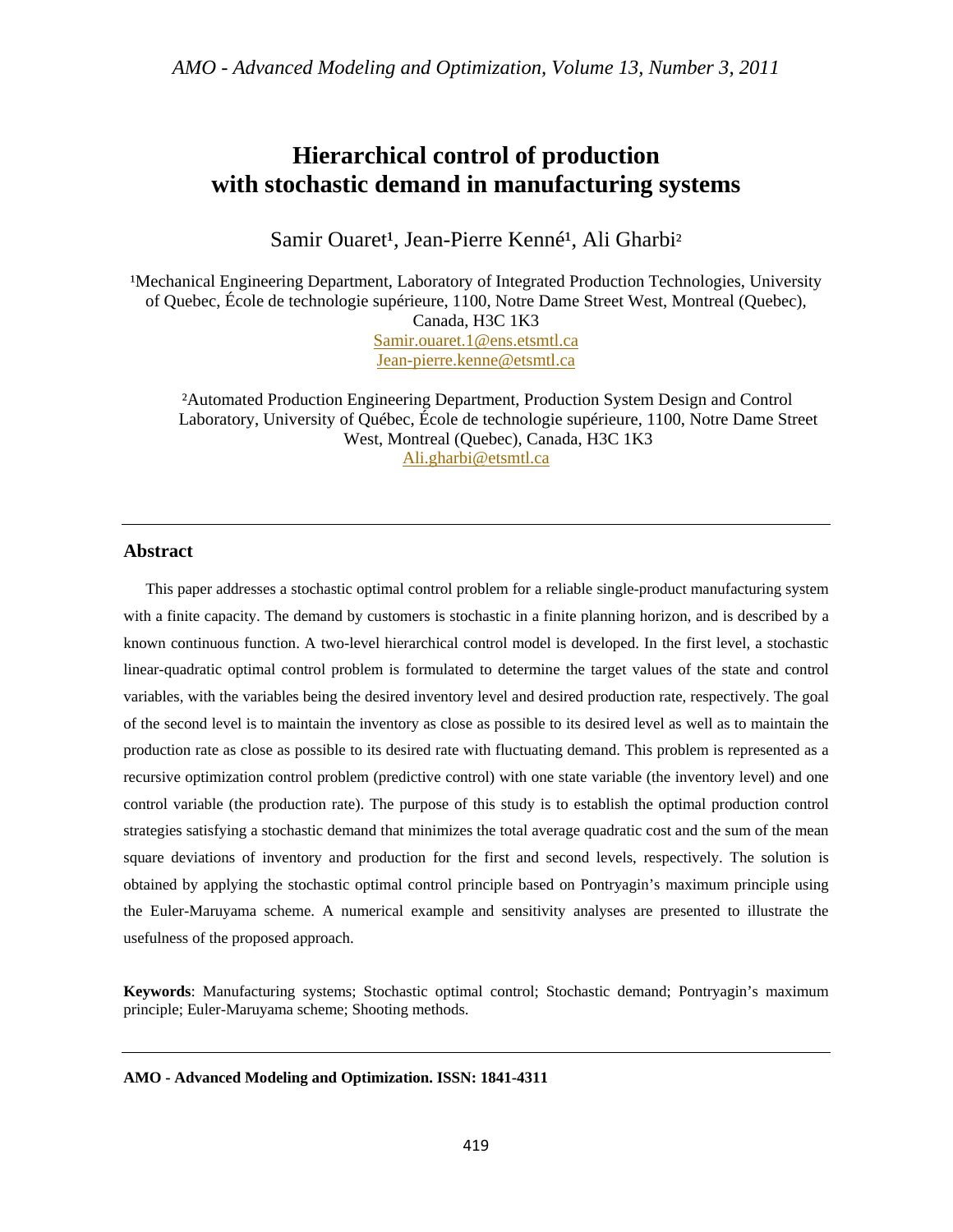*AMO - Advanced Modeling and Optimization, Volume 13, Number 3, 2011* 

# **Hierarchical control of production with stochastic demand in manufacturing systems**

Samir Ouaret<sup>1</sup>, Jean-Pierre Kenné<sup>1</sup>, Ali Gharbi<sup>2</sup>

<sup>1</sup>Mechanical Engineering Department, Laboratory of Integrated Production Technologies, University of Quebec, École de technologie supérieure, 1100, Notre Dame Street West, Montreal (Quebec), Canada, H3C 1K3 Samir.ouaret.1@ens.etsmtl.ca Jean-pierre.kenne@etsmtl.ca

²Automated Production Engineering Department, Production System Design and Control Laboratory, University of Québec, École de technologie supérieure, 1100, Notre Dame Street West, Montreal (Quebec), Canada, H3C 1K3 Ali.gharbi@etsmtl.ca

#### **Abstract**

 This paper addresses a stochastic optimal control problem for a reliable single-product manufacturing system with a finite capacity. The demand by customers is stochastic in a finite planning horizon, and is described by a known continuous function. A two-level hierarchical control model is developed. In the first level, a stochastic linear-quadratic optimal control problem is formulated to determine the target values of the state and control variables, with the variables being the desired inventory level and desired production rate, respectively. The goal of the second level is to maintain the inventory as close as possible to its desired level as well as to maintain the production rate as close as possible to its desired rate with fluctuating demand. This problem is represented as a recursive optimization control problem (predictive control) with one state variable (the inventory level) and one control variable (the production rate). The purpose of this study is to establish the optimal production control strategies satisfying a stochastic demand that minimizes the total average quadratic cost and the sum of the mean square deviations of inventory and production for the first and second levels, respectively. The solution is obtained by applying the stochastic optimal control principle based on Pontryagin's maximum principle using the Euler-Maruyama scheme. A numerical example and sensitivity analyses are presented to illustrate the usefulness of the proposed approach.

**Keywords**: Manufacturing systems; Stochastic optimal control; Stochastic demand; Pontryagin's maximum principle; Euler-Maruyama scheme; Shooting methods.

#### **AMO - Advanced Modeling and Optimization. ISSN: 1841-4311**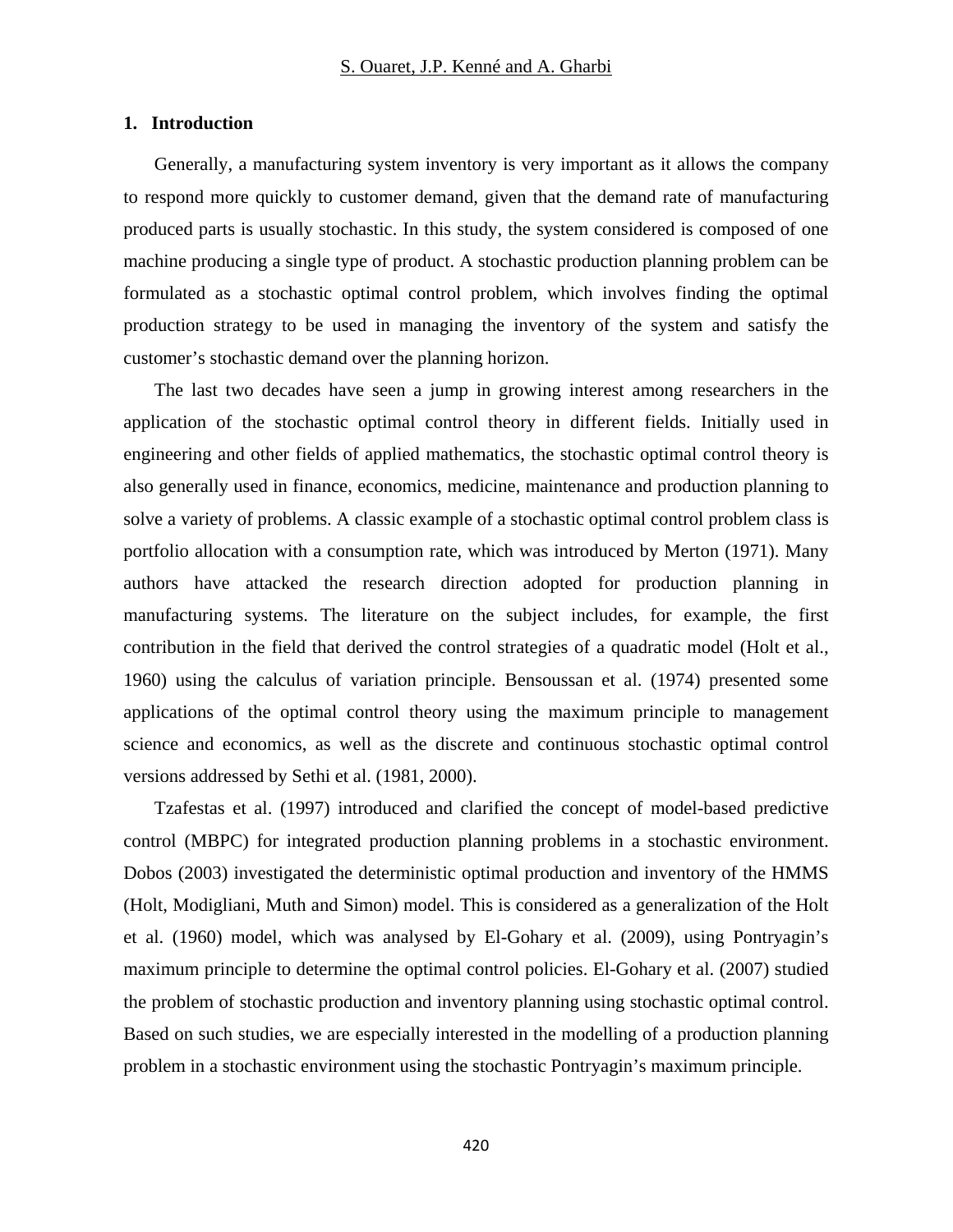### **1. Introduction**

Generally, a manufacturing system inventory is very important as it allows the company to respond more quickly to customer demand, given that the demand rate of manufacturing produced parts is usually stochastic. In this study, the system considered is composed of one machine producing a single type of product. A stochastic production planning problem can be formulated as a stochastic optimal control problem, which involves finding the optimal production strategy to be used in managing the inventory of the system and satisfy the customer's stochastic demand over the planning horizon.

The last two decades have seen a jump in growing interest among researchers in the application of the stochastic optimal control theory in different fields. Initially used in engineering and other fields of applied mathematics, the stochastic optimal control theory is also generally used in finance, economics, medicine, maintenance and production planning to solve a variety of problems. A classic example of a stochastic optimal control problem class is portfolio allocation with a consumption rate, which was introduced by Merton (1971). Many authors have attacked the research direction adopted for production planning in manufacturing systems. The literature on the subject includes, for example, the first contribution in the field that derived the control strategies of a quadratic model (Holt et al., 1960) using the calculus of variation principle. Bensoussan et al. (1974) presented some applications of the optimal control theory using the maximum principle to management science and economics, as well as the discrete and continuous stochastic optimal control versions addressed by Sethi et al. (1981, 2000).

Tzafestas et al. (1997) introduced and clarified the concept of model-based predictive control (MBPC) for integrated production planning problems in a stochastic environment. Dobos (2003) investigated the deterministic optimal production and inventory of the HMMS (Holt, Modigliani, Muth and Simon) model. This is considered as a generalization of the Holt et al. (1960) model, which was analysed by El-Gohary et al. (2009), using Pontryagin's maximum principle to determine the optimal control policies. El-Gohary et al. (2007) studied the problem of stochastic production and inventory planning using stochastic optimal control. Based on such studies, we are especially interested in the modelling of a production planning problem in a stochastic environment using the stochastic Pontryagin's maximum principle.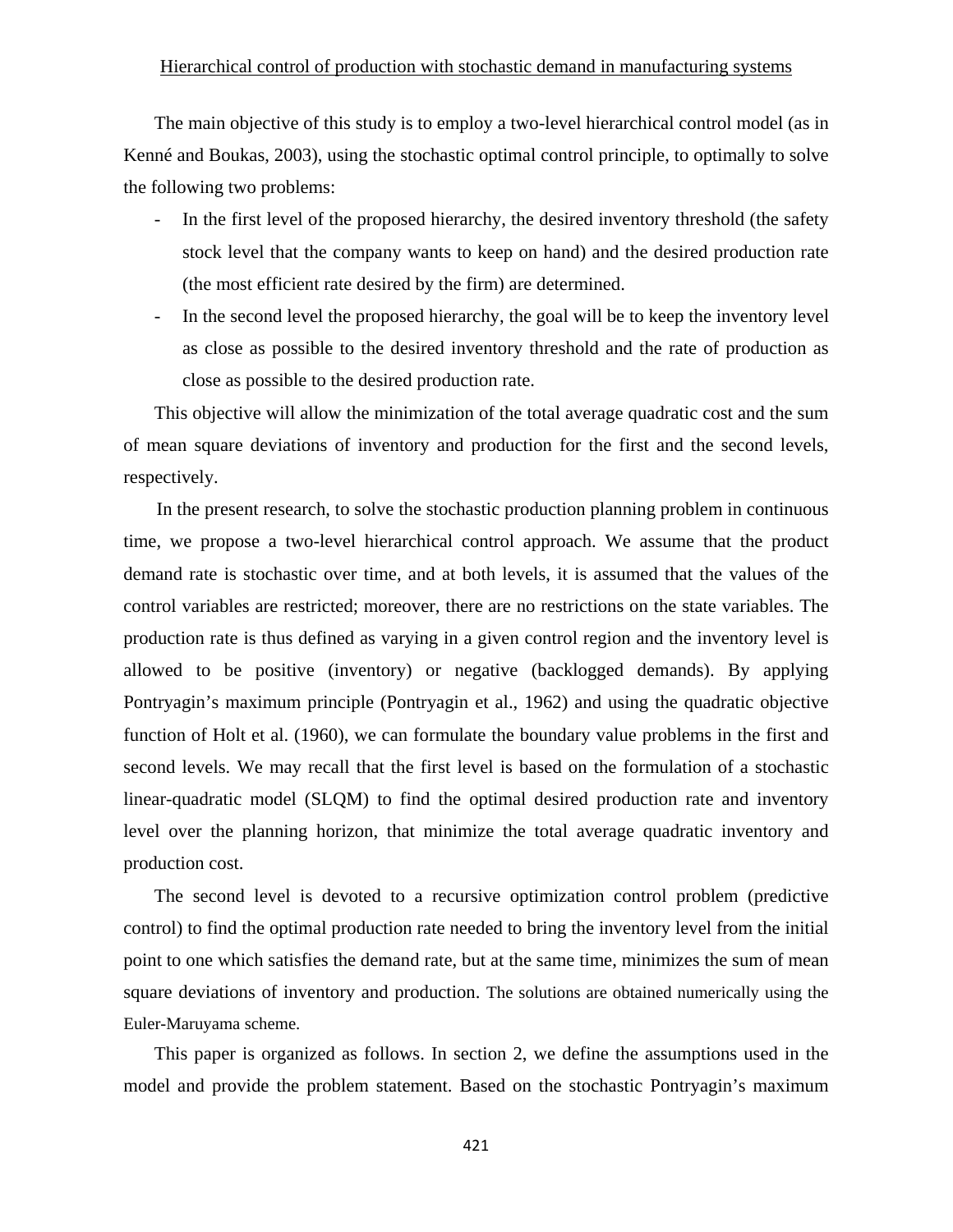### Hierarchical control of production with stochastic demand in manufacturing systems

The main objective of this study is to employ a two-level hierarchical control model (as in Kenné and Boukas, 2003), using the stochastic optimal control principle, to optimally to solve the following two problems:

- In the first level of the proposed hierarchy, the desired inventory threshold (the safety stock level that the company wants to keep on hand) and the desired production rate (the most efficient rate desired by the firm) are determined.
- In the second level the proposed hierarchy, the goal will be to keep the inventory level as close as possible to the desired inventory threshold and the rate of production as close as possible to the desired production rate.

This objective will allow the minimization of the total average quadratic cost and the sum of mean square deviations of inventory and production for the first and the second levels, respectively.

 In the present research, to solve the stochastic production planning problem in continuous time, we propose a two-level hierarchical control approach. We assume that the product demand rate is stochastic over time, and at both levels, it is assumed that the values of the control variables are restricted; moreover, there are no restrictions on the state variables. The production rate is thus defined as varying in a given control region and the inventory level is allowed to be positive (inventory) or negative (backlogged demands). By applying Pontryagin's maximum principle (Pontryagin et al., 1962) and using the quadratic objective function of Holt et al. (1960), we can formulate the boundary value problems in the first and second levels. We may recall that the first level is based on the formulation of a stochastic linear-quadratic model (SLQM) to find the optimal desired production rate and inventory level over the planning horizon, that minimize the total average quadratic inventory and production cost.

The second level is devoted to a recursive optimization control problem (predictive control) to find the optimal production rate needed to bring the inventory level from the initial point to one which satisfies the demand rate, but at the same time, minimizes the sum of mean square deviations of inventory and production. The solutions are obtained numerically using the Euler-Maruyama scheme.

This paper is organized as follows. In section 2, we define the assumptions used in the model and provide the problem statement. Based on the stochastic Pontryagin's maximum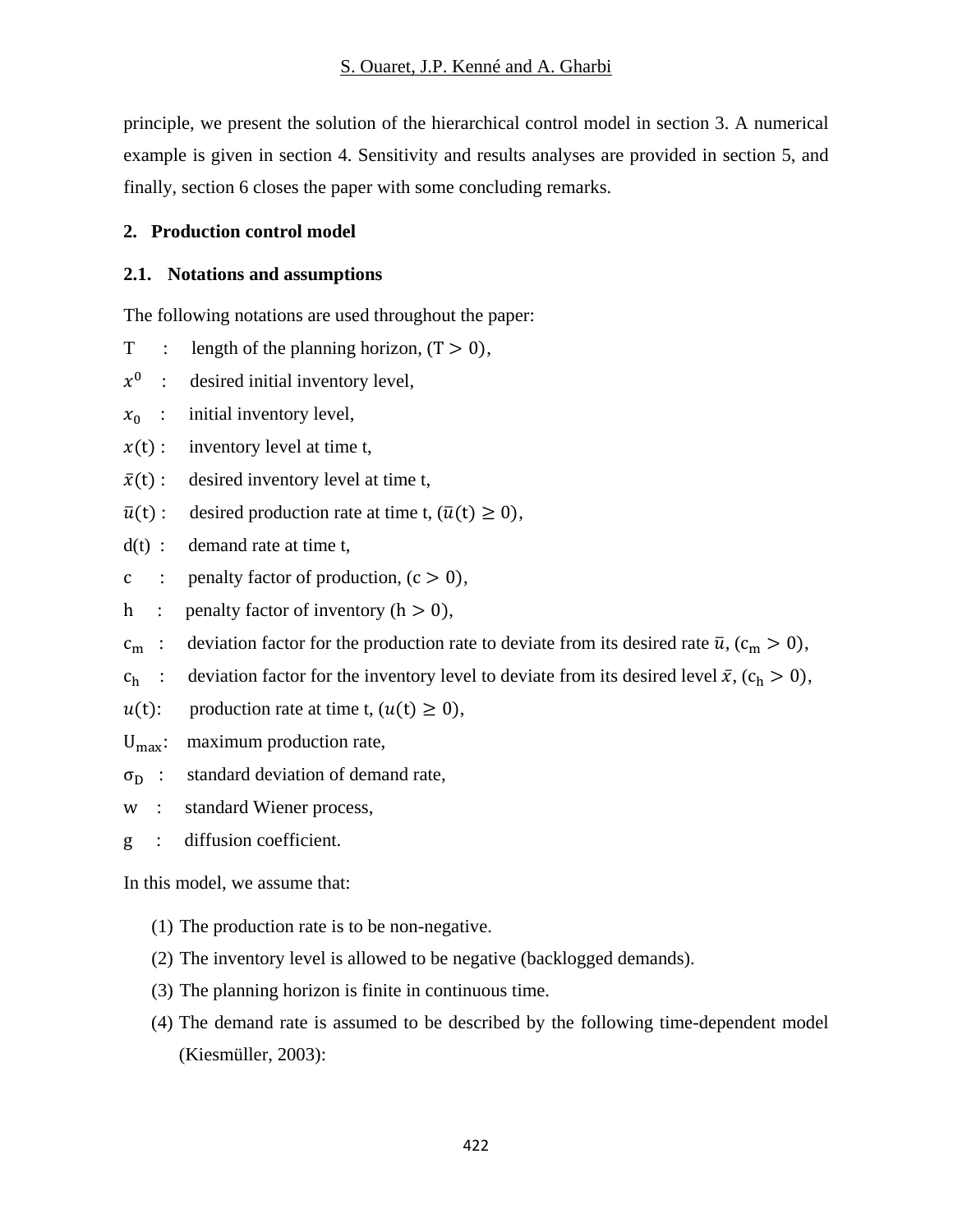principle, we present the solution of the hierarchical control model in section 3. A numerical example is given in section 4. Sensitivity and results analyses are provided in section 5, and finally, section 6 closes the paper with some concluding remarks.

## **2. Production control model**

## **2.1. Notations and assumptions**

The following notations are used throughout the paper:

- T : length of the planning horizon,  $(T > 0)$ ,
- $x^0$  : desired initial inventory level,
- $x_0$  : initial inventory level,
- $x(t)$ : inventory level at time t,
- $\bar{x}(t)$ : desired inventory level at time t,
- $\bar{u}(t)$ : desired production rate at time t,  $(\bar{u}(t) \ge 0)$ ,
- $d(t)$ : demand rate at time t,
- c : penalty factor of production,  $(c > 0)$ ,
- h : penalty factor of inventory  $(h > 0)$ ,
- $c_m$ : deviation factor for the production rate to deviate from its desired rate  $\bar{u}$ , ( $c_m > 0$ ),
- $c_h$ : deviation factor for the inventory level to deviate from its desired level  $\bar{x}$ ,  $(c_h > 0)$ ,
- $u(t)$ : production rate at time t,  $(u(t) \geq 0)$ ,
- $U_{\text{max}}$ : maximum production rate,
- $\sigma_{\rm D}$  : standard deviation of demand rate,
- w : standard Wiener process,
- g : diffusion coefficient.

In this model, we assume that:

- (1) The production rate is to be non-negative.
- (2) The inventory level is allowed to be negative (backlogged demands).
- (3) The planning horizon is finite in continuous time.
- (4) The demand rate is assumed to be described by the following time-dependent model (Kiesmüller, 2003):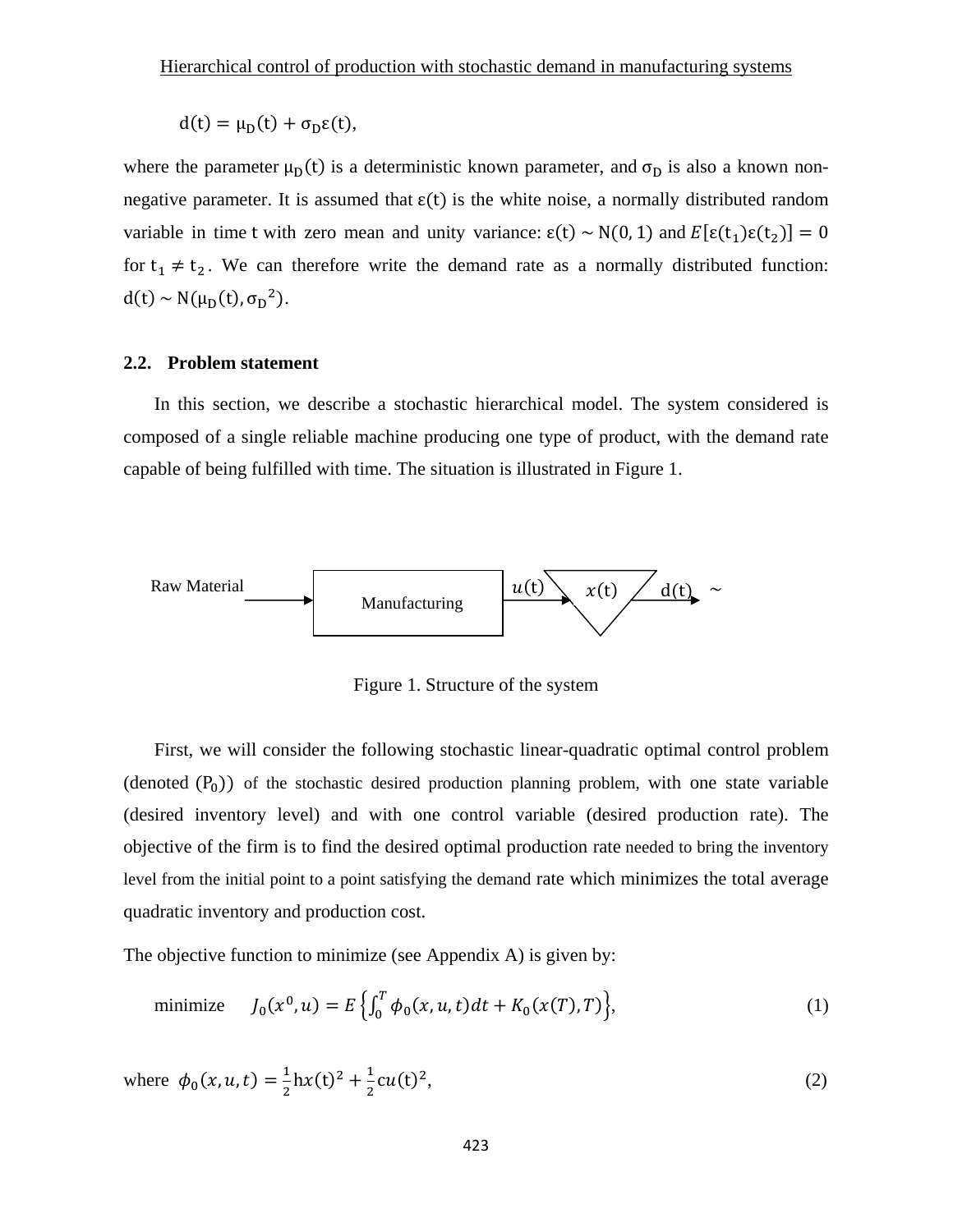$d(t) = \mu_D(t) + \sigma_D \varepsilon(t),$ 

where the parameter  $\mu_D(t)$  is a deterministic known parameter, and  $\sigma_D$  is also a known nonnegative parameter. It is assumed that  $\varepsilon(t)$  is the white noise, a normally distributed random variable in time t with zero mean and unity variance:  $\epsilon(t) \sim N(0, 1)$  and  $E[\epsilon(t_1)\epsilon(t_2)] = 0$ for  $t_1 \neq t_2$ . We can therefore write the demand rate as a normally distributed function:  $d(t) \sim N(\mu_D(t), \sigma_D^2)$ .

### **2.2. Problem statement**

In this section, we describe a stochastic hierarchical model. The system considered is composed of a single reliable machine producing one type of product, with the demand rate capable of being fulfilled with time. The situation is illustrated in Figure 1.



Figure 1. Structure of the system

First, we will consider the following stochastic linear-quadratic optimal control problem (denoted  $(P_0)$ ) of the stochastic desired production planning problem, with one state variable (desired inventory level) and with one control variable (desired production rate). The objective of the firm is to find the desired optimal production rate needed to bring the inventory level from the initial point to a point satisfying the demand rate which minimizes the total average quadratic inventory and production cost.

The objective function to minimize (see Appendix A) is given by:

minimize 
$$
J_0(x^0, u) = E\left\{\int_0^T \phi_0(x, u, t) dt + K_0(x(T), T)\right\},
$$
 (1)

where  $\phi_0(x, u, t) = \frac{1}{2} \ln(x(t)^2 + \frac{1}{2} cu(t)^2)$ , (2)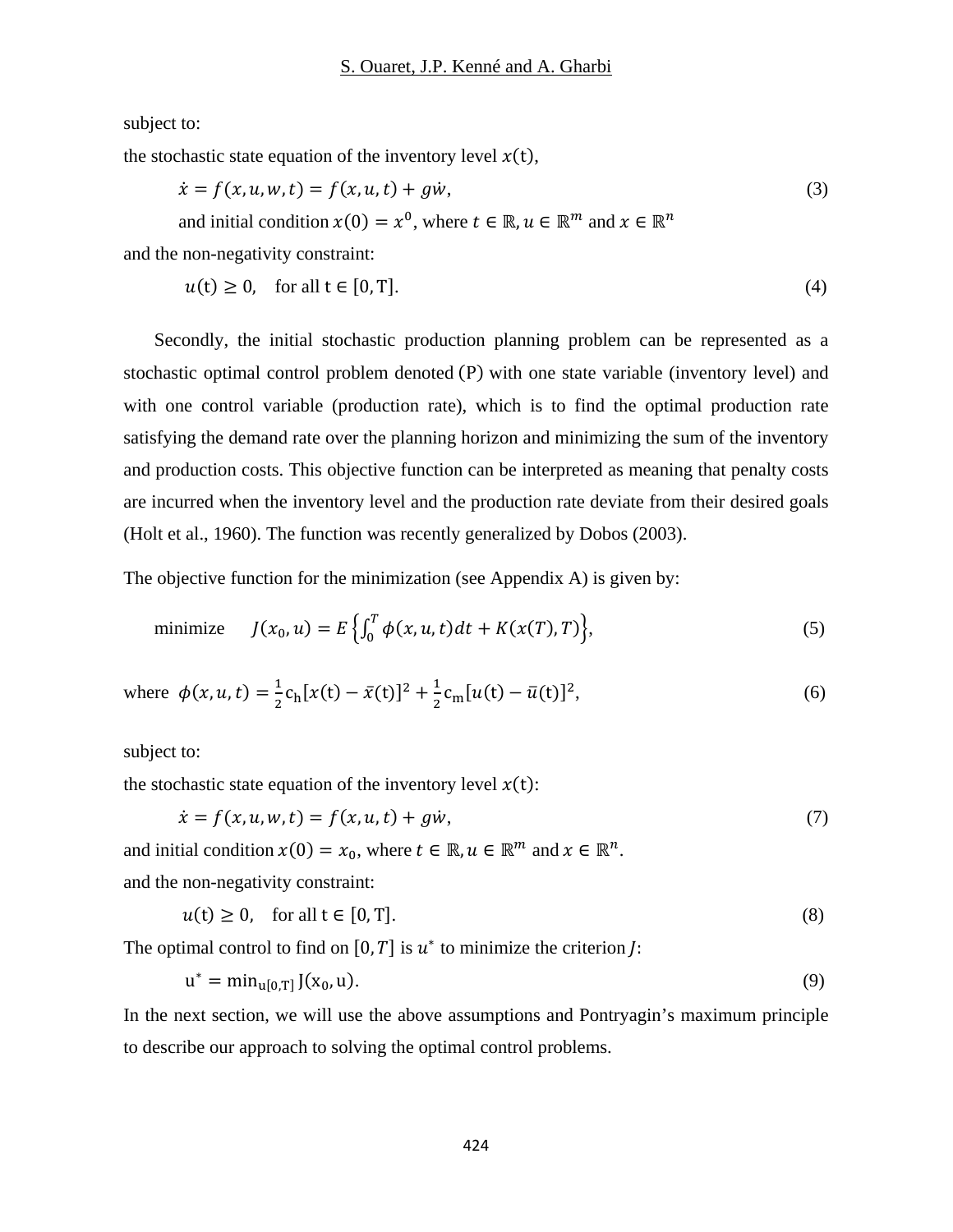subject to:

the stochastic state equation of the inventory level  $x(t)$ ,

$$
\dot{x} = f(x, u, w, t) = f(x, u, t) + g\dot{w},
$$
  
and initial condition  $x(0) = x^0$ , where  $t \in \mathbb{R}, u \in \mathbb{R}^m$  and  $x \in \mathbb{R}^n$  (3)

and the non-negativity constraint:

$$
u(t) \ge 0, \quad \text{for all } t \in [0, T]. \tag{4}
$$

Secondly, the initial stochastic production planning problem can be represented as a stochastic optimal control problem denoted  $(P)$  with one state variable (inventory level) and with one control variable (production rate), which is to find the optimal production rate satisfying the demand rate over the planning horizon and minimizing the sum of the inventory and production costs. This objective function can be interpreted as meaning that penalty costs are incurred when the inventory level and the production rate deviate from their desired goals (Holt et al., 1960). The function was recently generalized by Dobos (2003).

The objective function for the minimization (see Appendix A) is given by:

minimize 
$$
J(x_0, u) = E\left\{\int_0^T \phi(x, u, t)dt + K(x(T), T)\right\},
$$
 (5)

where 
$$
\phi(x, u, t) = \frac{1}{2} c_h [x(t) - \bar{x}(t)]^2 + \frac{1}{2} c_m [u(t) - \bar{u}(t)]^2
$$
, (6)

subject to:

the stochastic state equation of the inventory level  $x(t)$ :

$$
\dot{x} = f(x, u, w, t) = f(x, u, t) + g\dot{w},
$$
\n(7)

and initial condition  $x(0) = x_0$ , where  $t \in \mathbb{R}, u \in \mathbb{R}^m$  and  $x \in \mathbb{R}^n$ . and the non-negativity constraint:

$$
u(t) \ge 0, \quad \text{for all } t \in [0, T]. \tag{8}
$$

The optimal control to find on  $[0, T]$  is  $u^*$  to minimize the criterion *J*:

$$
u^* = \min_{u[0,T]} J(x_0, u). \tag{9}
$$

In the next section, we will use the above assumptions and Pontryagin's maximum principle to describe our approach to solving the optimal control problems.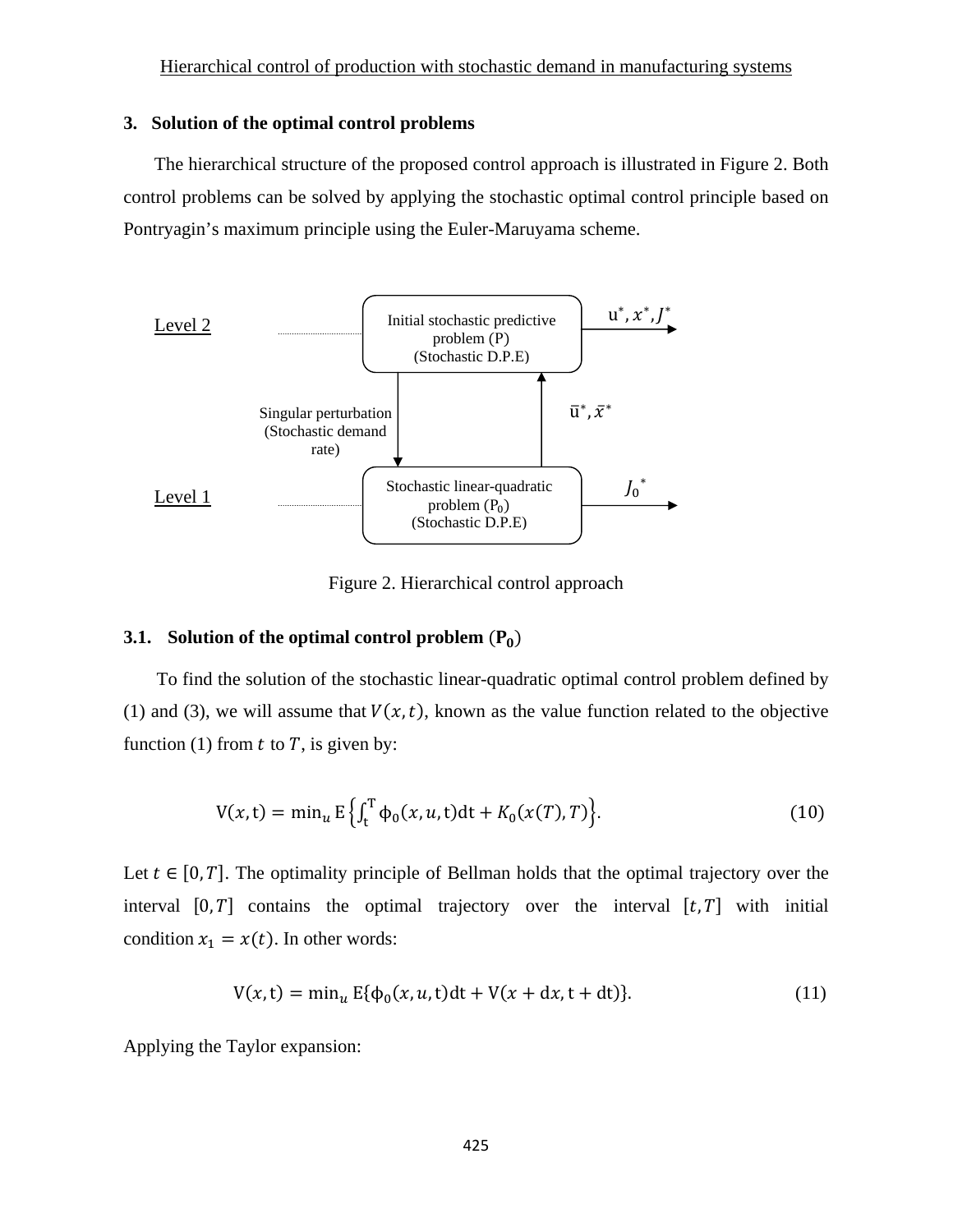### **3. Solution of the optimal control problems**

 The hierarchical structure of the proposed control approach is illustrated in Figure 2. Both control problems can be solved by applying the stochastic optimal control principle based on Pontryagin's maximum principle using the Euler-Maruyama scheme.



Figure 2. Hierarchical control approach

### **3.1. Solution of the optimal control problem**  $(P_0)$

To find the solution of the stochastic linear-quadratic optimal control problem defined by (1) and (3), we will assume that  $V(x, t)$ , known as the value function related to the objective function (1) from  $t$  to  $T$ , is given by:

$$
V(x,t) = \min_{u} E\left\{ \int_{t}^{T} \phi_{0}(x, u, t) dt + K_{0}(x(T), T) \right\}.
$$
 (10)

Let  $t \in [0, T]$ . The optimality principle of Bellman holds that the optimal trajectory over the interval  $[0, T]$  contains the optimal trajectory over the interval  $[t, T]$  with initial condition  $x_1 = x(t)$ . In other words:

$$
V(x,t) = \min_{u} E\{\phi_0(x,u,t)dt + V(x+dx,t+dt)\}.
$$
 (11)

Applying the Taylor expansion: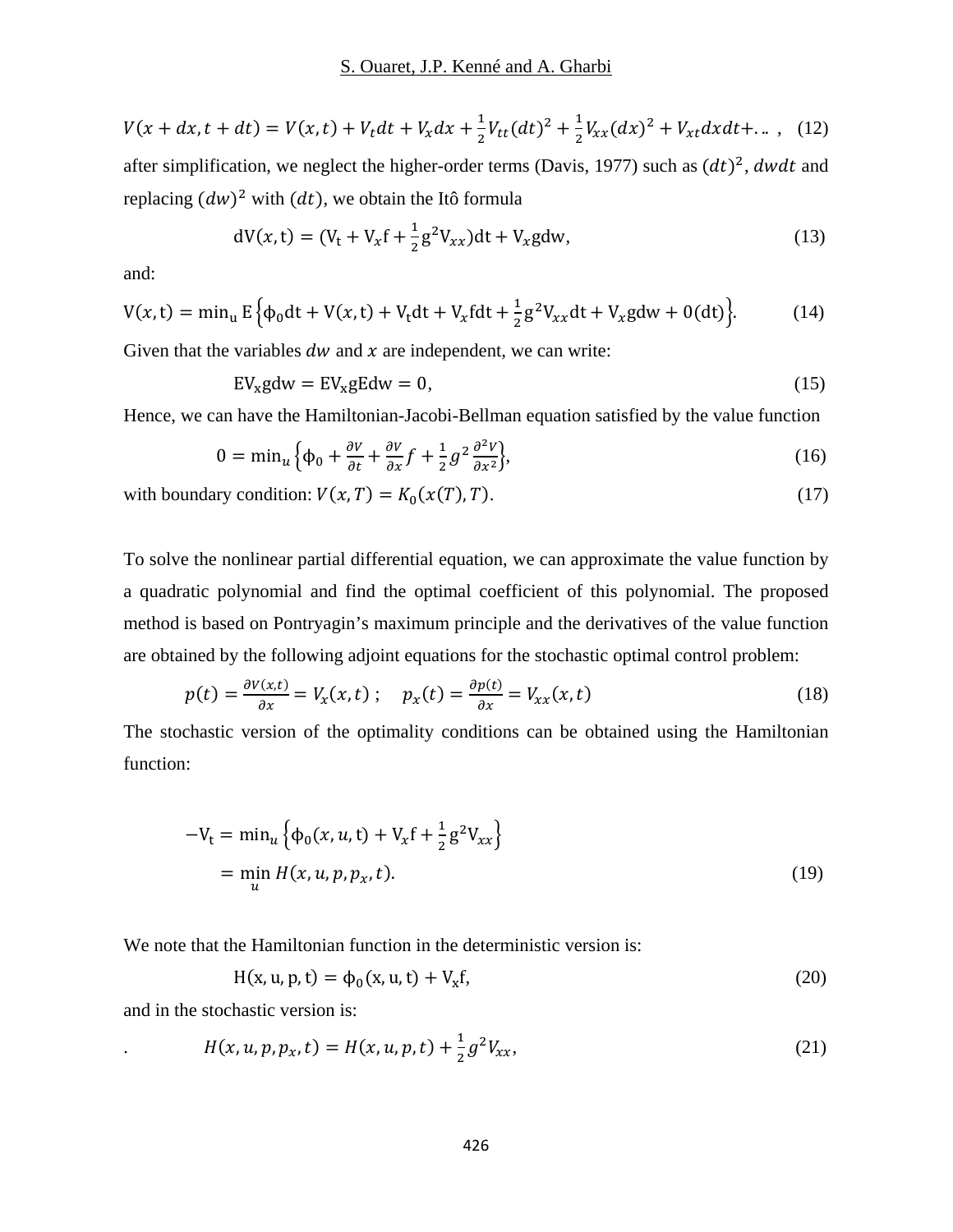$$
V(x+dx, t+dt) = V(x,t) + V_t dt + V_x dx + \frac{1}{2} V_{tt}(dt)^2 + \frac{1}{2} V_{xx}(dx)^2 + V_{xt} dx dt + ... ,
$$
 (12)

after simplification, we neglect the higher-order terms (Davis, 1977) such as  $(dt)^2$ , dwdt and replacing  $(dw)^2$  with  $(dt)$ , we obtain the Itô formula

$$
dV(x,t) = (V_t + V_x f + \frac{1}{2} g^2 V_{xx}) dt + V_x g dw,
$$
\n(13)

and:

$$
V(x,t) = \min_{u} E\{\phi_0 dt + V(x,t) + V_t dt + V_x f dt + \frac{1}{2} g^2 V_{xx} dt + V_x g dw + 0(dt)\}.
$$
 (14)

Given that the variables  $dw$  and  $x$  are independent, we can write:

$$
EV_x g dw = EV_x g E dw = 0,
$$
\n(15)

Hence, we can have the Hamiltonian-Jacobi-Bellman equation satisfied by the value function

$$
0 = \min_{u} \left\{ \phi_0 + \frac{\partial V}{\partial t} + \frac{\partial V}{\partial x} f + \frac{1}{2} g^2 \frac{\partial^2 V}{\partial x^2} \right\},\tag{16}
$$

with boundary condition:  $V(x, T) = K_0(x(T), T)$ . (17)

To solve the nonlinear partial differential equation, we can approximate the value function by a quadratic polynomial and find the optimal coefficient of this polynomial. The proposed method is based on Pontryagin's maximum principle and the derivatives of the value function are obtained by the following adjoint equations for the stochastic optimal control problem:

$$
p(t) = \frac{\partial V(x,t)}{\partial x} = V_x(x,t) \; ; \quad p_x(t) = \frac{\partial p(t)}{\partial x} = V_{xx}(x,t) \tag{18}
$$

The stochastic version of the optimality conditions can be obtained using the Hamiltonian function:

$$
-V_{t} = \min_{u} \{ \phi_{0}(x, u, t) + V_{x}f + \frac{1}{2}g^{2}V_{xx} \}
$$
  
=  $\min_{u} H(x, u, p, p_{x}, t).$  (19)

We note that the Hamiltonian function in the deterministic version is:

$$
H(x, u, p, t) = \phi_0(x, u, t) + V_x f,
$$
\n(20)

and in the stochastic version is:

$$
H(x, u, p, p_x, t) = H(x, u, p, t) + \frac{1}{2}g^2 V_{xx},
$$
\n(21)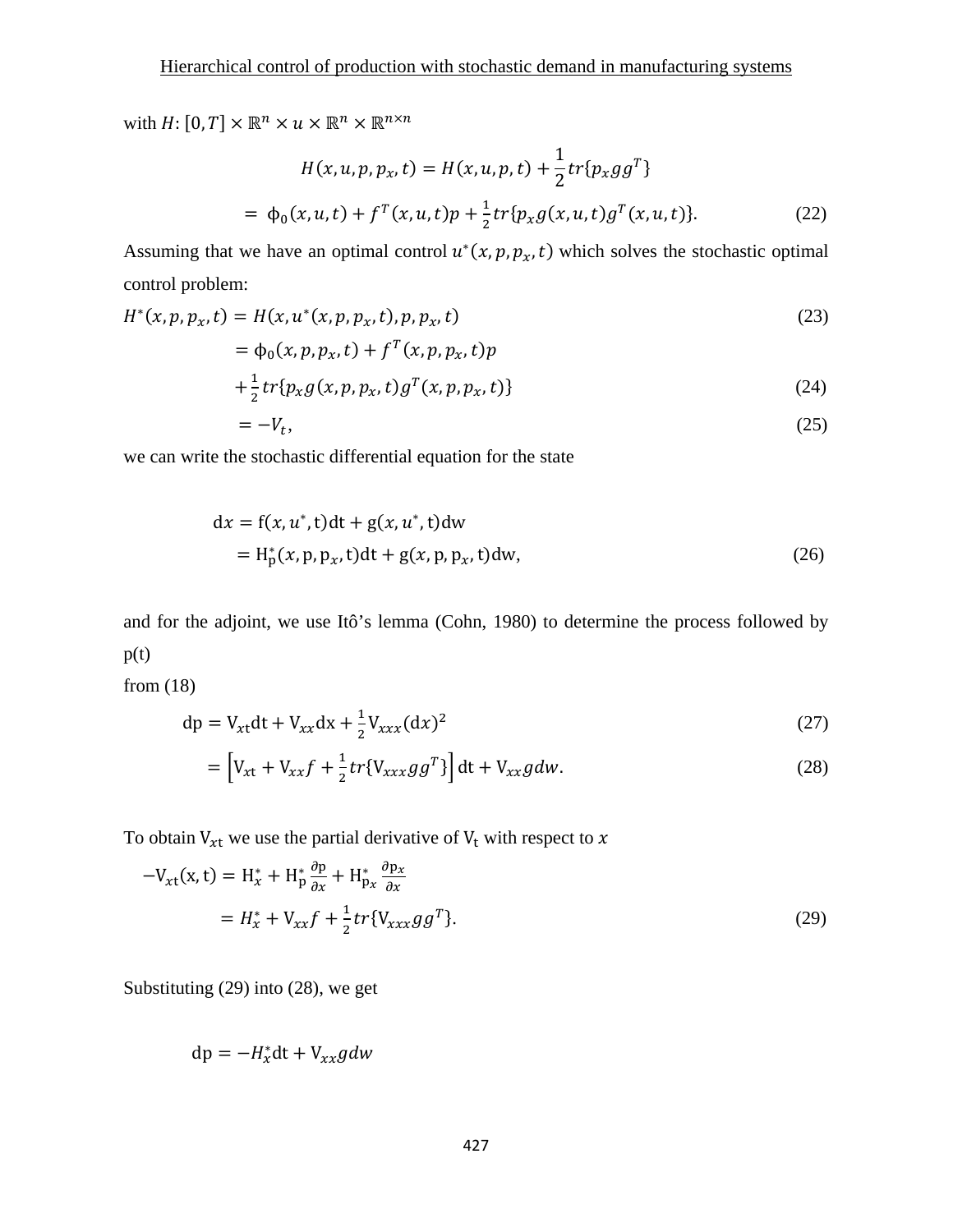with  $H: [0, T] \times \mathbb{R}^n \times u \times \mathbb{R}^n \times \mathbb{R}^{n \times n}$ 

$$
H(x, u, p, p_x, t) = H(x, u, p, t) + \frac{1}{2} tr\{p_x g g^T\}
$$
  
=  $\phi_0(x, u, t) + f^T(x, u, t)p + \frac{1}{2} tr\{p_x g(x, u, t) g^T(x, u, t)\}.$  (22)

Assuming that we have an optimal control  $u^*(x, p, p_x, t)$  which solves the stochastic optimal control problem:

$$
H^*(x, p, p_x, t) = H(x, u^*(x, p, p_x, t), p, p_x, t)
$$
  
=  $\phi_0(x, p, p_x, t) + f^T(x, p, p_x, t)p$  (23)

$$
+\frac{1}{2}tr\{p_x g(x, p, p_x, t)g^T(x, p, p_x, t)\}\tag{24}
$$

$$
=-V_t,\tag{25}
$$

we can write the stochastic differential equation for the state

$$
dx = f(x, u^*, t)dt + g(x, u^*, t)dw
$$
  
= H<sub>p</sub><sup>\*</sup>(x, p, p<sub>x</sub>, t)dt + g(x, p, p<sub>x</sub>, t)dw, (26)

and for the adjoint, we use Itô's lemma (Cohn, 1980) to determine the process followed by  $p(t)$ 

from (18)

$$
dp = V_{xt}dt + V_{xx}dx + \frac{1}{2}V_{xxx}(dx)^{2}
$$
 (27)

$$
= \left[ V_{xt} + V_{xx}f + \frac{1}{2}tr\{V_{xxx}gg^T\} \right] dt + V_{xx}g dw.
$$
 (28)

To obtain  $V_{xt}$  we use the partial derivative of  $V_t$  with respect to x

$$
-V_{xt}(x,t) = H_x^* + H_p^* \frac{\partial p}{\partial x} + H_{p_x}^* \frac{\partial p_x}{\partial x}
$$
  
=  $H_x^* + V_{xx}f + \frac{1}{2}tr\{V_{xxx}gg^T\}.$  (29)

Substituting (29) into (28), we get

 $dp = -H_x^*dt + V_{xx}gdw$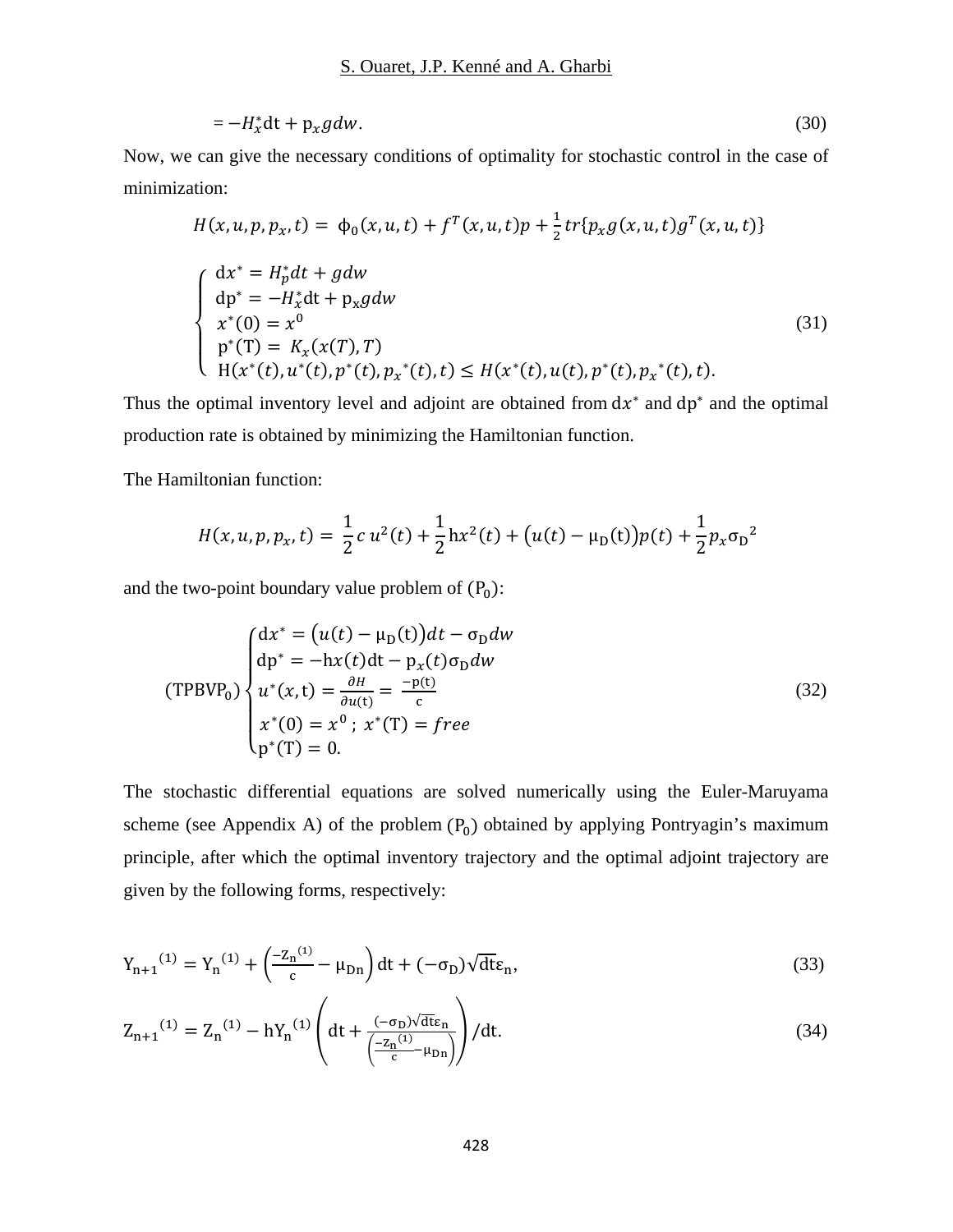$$
=-H_x^*dt + p_x gdw. \tag{30}
$$

Now, we can give the necessary conditions of optimality for stochastic control in the case of minimization:

$$
H(x, u, p, p_x, t) = \phi_0(x, u, t) + f^T(x, u, t)p + \frac{1}{2}tr\{p_x g(x, u, t)g^T(x, u, t)\}
$$
  

$$
\begin{cases} dx^* = H_p^* dt + g dw \\ dp^* = -H_x^* dt + p_x g dw \\ x^*(0) = x^0 \\ p^*(T) = K_x(x(T), T) \\ H(x^*(t), u^*(t), p^*(t), p_x^*(t), t) \le H(x^*(t), u(t), p^*(t), p_x^*(t), t). \end{cases}
$$
(31)

Thus the optimal inventory level and adjoint are obtained from  $dx^*$  and  $dp^*$  and the optimal production rate is obtained by minimizing the Hamiltonian function.

The Hamiltonian function:

$$
H(x, u, p, p_x, t) = \frac{1}{2} c u^2(t) + \frac{1}{2} h x^2(t) + (u(t) - \mu_D(t)) p(t) + \frac{1}{2} p_x \sigma_D^2
$$

and the two-point boundary value problem of  $(P_0)$ :

$$
(\text{TPBVP}_0) \begin{cases} dx^* = (u(t) - \mu_D(t))dt - \sigma_D dw \\ dp^* = -hx(t)dt - p_x(t)\sigma_D dw \\ u^*(x, t) = \frac{\partial H}{\partial u(t)} = \frac{-p(t)}{c} \\ x^*(0) = x^0; \ x^*(T) = free \\ p^*(T) = 0. \end{cases} \tag{32}
$$

The stochastic differential equations are solved numerically using the Euler-Maruyama scheme (see Appendix A) of the problem  $(P_0)$  obtained by applying Pontryagin's maximum principle, after which the optimal inventory trajectory and the optimal adjoint trajectory are given by the following forms, respectively:

$$
Y_{n+1}^{(1)} = Y_n^{(1)} + \left(\frac{-z_n^{(1)}}{c} - \mu_{Dn}\right)dt + (-\sigma_D)\sqrt{dt}\varepsilon_n,
$$
\n(33)

$$
Z_{n+1}^{(1)} = Z_n^{(1)} - hY_n^{(1)} \left( dt + \frac{(-\sigma_D)\sqrt{dt} \varepsilon_n}{\left(\frac{-Z_n^{(1)}}{c} + \mu_{Dn}\right)} \right) / dt. \tag{34}
$$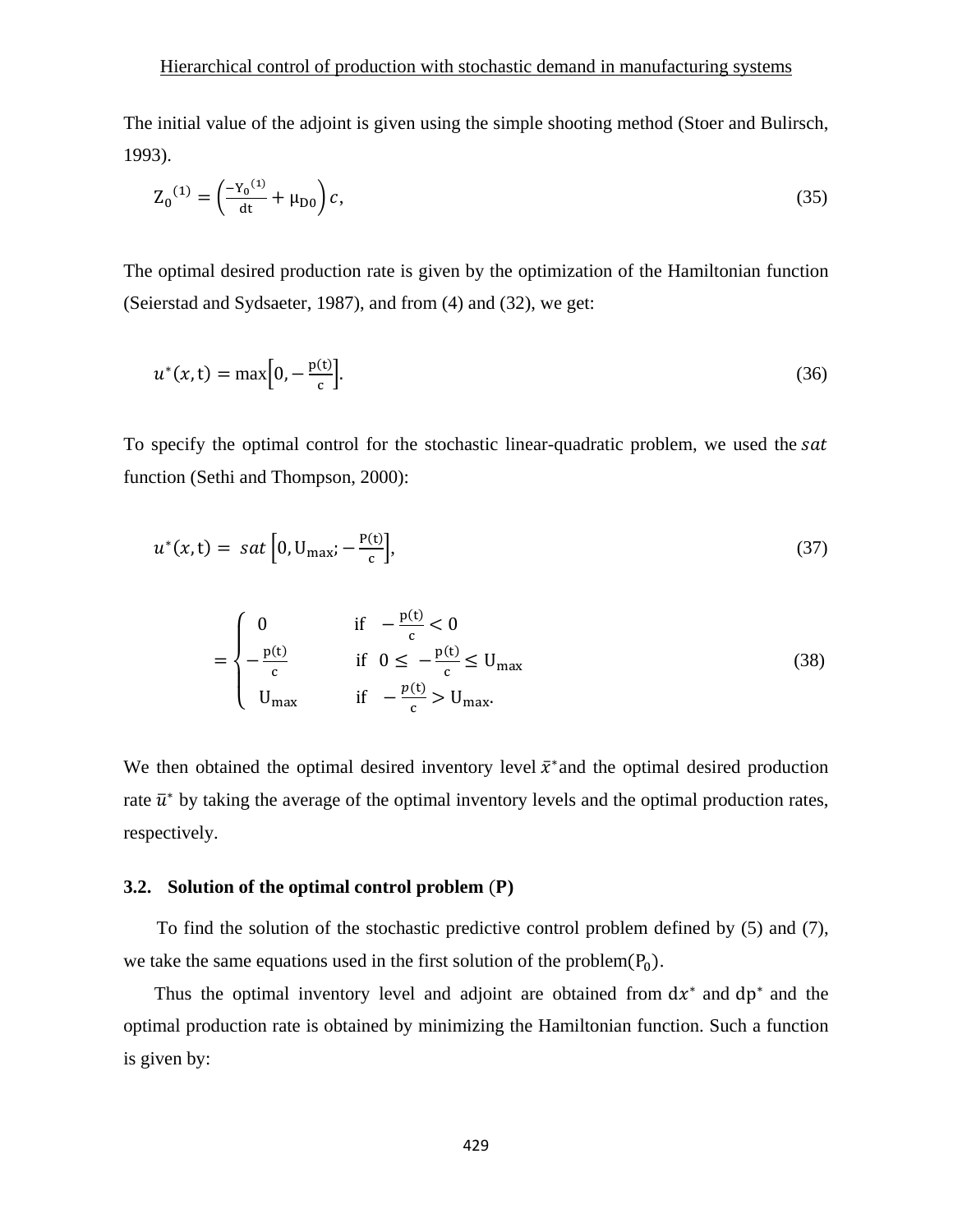#### Hierarchical control of production with stochastic demand in manufacturing systems

The initial value of the adjoint is given using the simple shooting method (Stoer and Bulirsch, 1993).

$$
Z_0^{(1)} = \left(\frac{-Y_0^{(1)}}{dt} + \mu_{D0}\right)c,\tag{35}
$$

The optimal desired production rate is given by the optimization of the Hamiltonian function (Seierstad and Sydsaeter, 1987), and from (4) and (32), we get:

$$
u^*(x,t) = \max\Big[0, -\frac{p(t)}{c}\Big].
$$
\n(36)

To specify the optimal control for the stochastic linear-quadratic problem, we used the sat function (Sethi and Thompson, 2000):

$$
u^*(x,t) = sat \Big[ 0, U_{\text{max}}; -\frac{P(t)}{c} \Big],
$$
\n(37)

$$
= \begin{cases} 0 & \text{if } -\frac{p(t)}{c} < 0\\ -\frac{p(t)}{c} & \text{if } 0 \le -\frac{p(t)}{c} \le U_{\text{max}}\\ U_{\text{max}} & \text{if } -\frac{p(t)}{c} > U_{\text{max}}. \end{cases}
$$
(38)

We then obtained the optimal desired inventory level  $\bar{x}^*$  and the optimal desired production rate  $\bar{u}^*$  by taking the average of the optimal inventory levels and the optimal production rates, respectively.

#### 3.2. Solution of the optimal control problem (P)

To find the solution of the stochastic predictive control problem defined by (5) and (7), we take the same equations used in the first solution of the problem $(P_0)$ .

Thus the optimal inventory level and adjoint are obtained from  $dx^*$  and  $dp^*$  and the optimal production rate is obtained by minimizing the Hamiltonian function. Such a function is given by: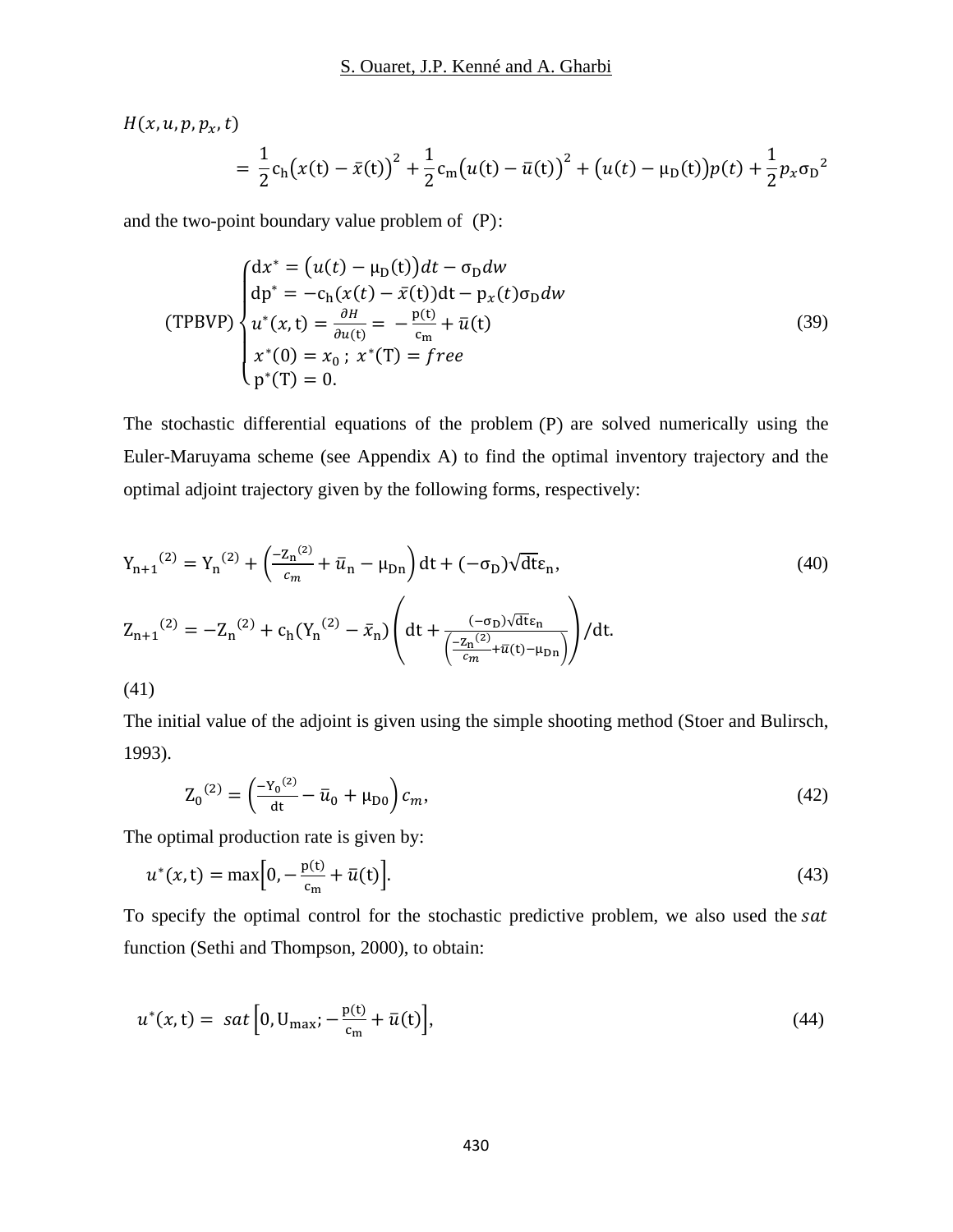$$
H(x, u, p, p_x, t)
$$
  
=  $\frac{1}{2}c_h(x(t) - \bar{x}(t))^2 + \frac{1}{2}c_m(u(t) - \bar{u}(t))^2 + (u(t) - \mu_D(t))p(t) + \frac{1}{2}p_x\sigma_D^2$ 

and the two-point boundary value problem of  $(P)$ :

$$
(TPBVP)\begin{cases} dx^* = (u(t) - \mu_D(t))dt - \sigma_D dw \\ dp^* = -c_h(x(t) - \bar{x}(t))dt - p_x(t)\sigma_D dw \\ u^*(x, t) = \frac{\partial H}{\partial u(t)} = -\frac{p(t)}{c_m} + \bar{u}(t) \\ x^*(0) = x_0; \ x^*(T) = free \\ p^*(T) = 0. \end{cases}
$$
(39)

The stochastic differential equations of the problem  $(P)$  are solved numerically using the Euler-Maruyama scheme (see Appendix A) to find the optimal inventory trajectory and the optimal adjoint trajectory given by the following forms, respectively:

$$
Y_{n+1}^{(2)} = Y_n^{(2)} + \left(\frac{-z_n^{(2)}}{c_m} + \bar{u}_n - \mu_{Dn}\right) dt + (-\sigma_D) \sqrt{dt} \varepsilon_n,
$$
\n
$$
Z_{n+1}^{(2)} = -Z_n^{(2)} + c_h (Y_n^{(2)} - \bar{x}_n) \left(dt + \frac{(-\sigma_D) \sqrt{dt} \varepsilon_n}{\left(\frac{-z_n^{(2)}}{c_m} + \bar{u}(t) - \mu_{Dn}\right)}\right) / dt.
$$
\n(41)

The initial value of the adjoint is given using the simple shooting method (Stoer and Bulirsch, 1993).

$$
Z_0^{(2)} = \left(\frac{-Y_0^{(2)}}{dt} - \bar{u}_0 + \mu_{D0}\right)c_m,
$$
\n(42)

The optimal production rate is given by:

$$
u^*(x,t) = \max\Big[0, -\frac{p(t)}{c_m} + \bar{u}(t)\Big].
$$
\n(43)

To specify the optimal control for the stochastic predictive problem, we also used the sat function (Sethi and Thompson, 2000), to obtain:

$$
u^*(x,t) = sat \left[0, U_{\text{max}}; -\frac{p(t)}{c_m} + \bar{u}(t)\right],
$$
\n(44)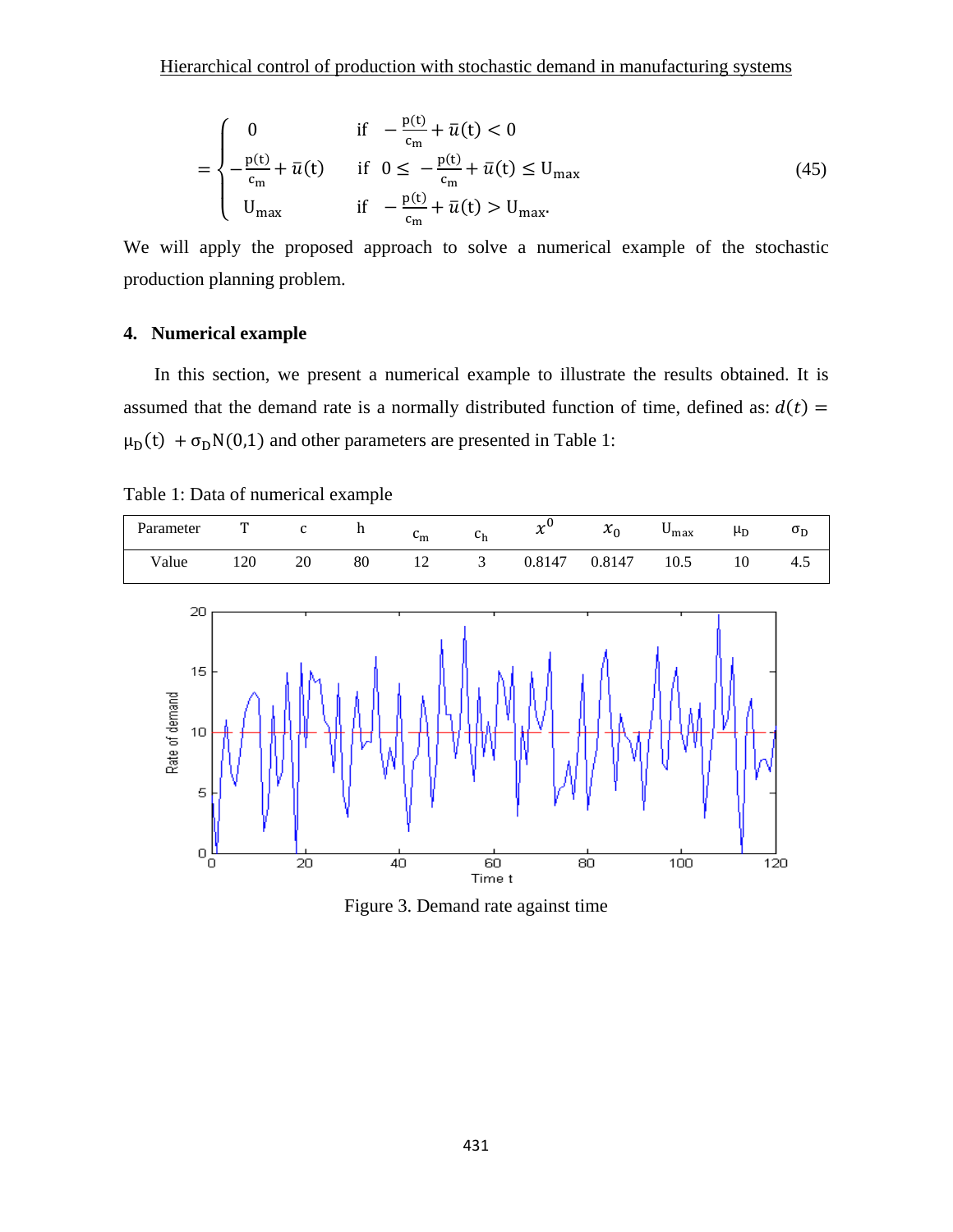$$
= \begin{cases} 0 & \text{if } -\frac{p(t)}{c_m} + \bar{u}(t) < 0 \\ -\frac{p(t)}{c_m} + \bar{u}(t) & \text{if } 0 \le -\frac{p(t)}{c_m} + \bar{u}(t) \le U_{\text{max}} \\ U_{\text{max}} & \text{if } -\frac{p(t)}{c_m} + \bar{u}(t) > U_{\text{max}}. \end{cases}
$$
(45)

We will apply the proposed approach to solve a numerical example of the stochastic production planning problem.

## 4. Numerical example

In this section, we present a numerical example to illustrate the results obtained. It is assumed that the demand rate is a normally distributed function of time, defined as:  $d(t)$  =  $\mu_D(t) + \sigma_D N(0,1)$  and other parameters are presented in Table 1:

| Table 1: Data of numerical example |  |
|------------------------------------|--|
|------------------------------------|--|

| Parameter |    | $\mathbf{C}$ | $\mathbf{h}$ | $\overline{c}$<br>$\mathsf{m}$ | $c_h$                   | $\boldsymbol{v}^{\mathrm{U}}$<br>$\boldsymbol{\mathcal{N}}$ | $x_0$  | $\upsilon_{\text{max}}$ | $\mu_D$ | υp  |
|-----------|----|--------------|--------------|--------------------------------|-------------------------|-------------------------------------------------------------|--------|-------------------------|---------|-----|
| Value     | 20 | 20           | 80           | 12                             | $\overline{\mathbf{3}}$ | 0.8147                                                      | 0.8147 | 10.5                    | 10      | 4.5 |



Figure 3. Demand rate against time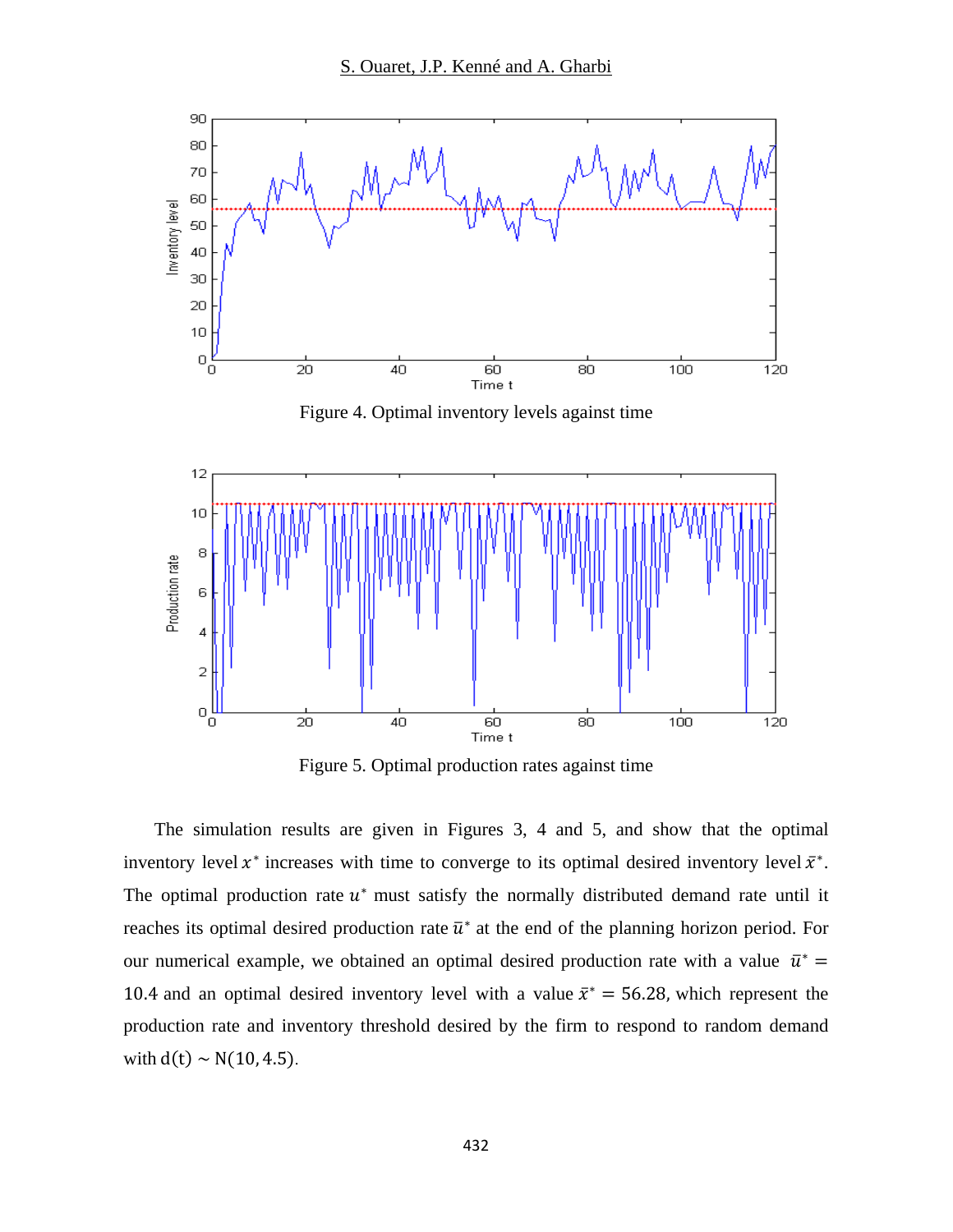

Figure 5. Optimal production rates against time

The simulation results are given in Figures 3, 4 and 5, and show that the optimal inventory level  $x^*$  increases with time to converge to its optimal desired inventory level  $\bar{x}^*$ . The optimal production rate  $u^*$  must satisfy the normally distributed demand rate until it reaches its optimal desired production rate  $\bar{u}^*$  at the end of the planning horizon period. For our numerical example, we obtained an optimal desired production rate with a value  $\bar{u}^* =$ 10.4 and an optimal desired inventory level with a value  $\bar{x}^* = 56.28$ , which represent the production rate and inventory threshold desired by the firm to respond to random demand with  $d(t) \sim N(10, 4.5)$ .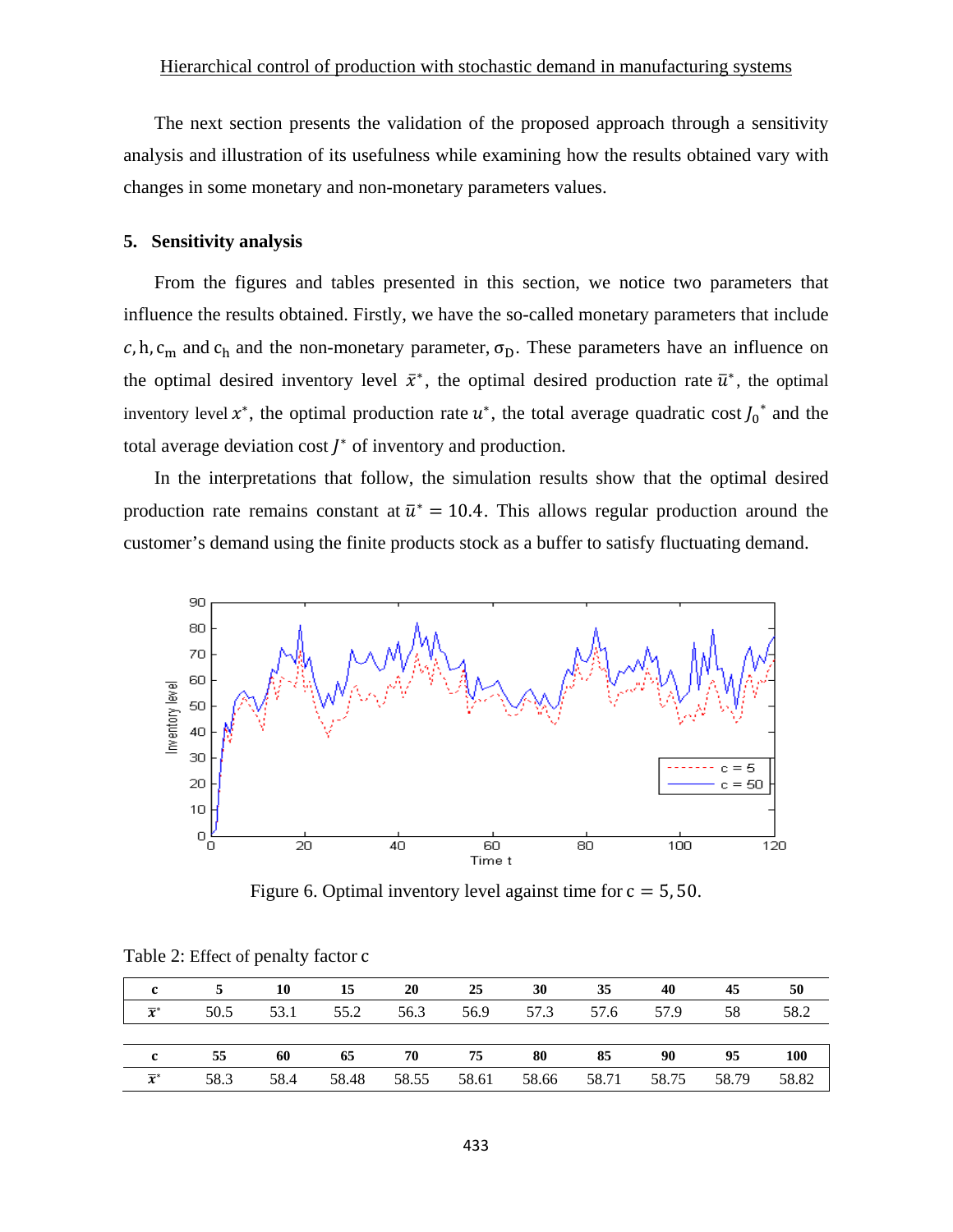The next section presents the validation of the proposed approach through a sensitivity analysis and illustration of its usefulness while examining how the results obtained vary with changes in some monetary and non-monetary parameters values.

#### **5. Sensitivity analysis**

From the figures and tables presented in this section, we notice two parameters that influence the results obtained. Firstly, we have the so-called monetary parameters that include c, h, c<sub>m</sub> and c<sub>h</sub> and the non-monetary parameter,  $\sigma_D$ . These parameters have an influence on the optimal desired inventory level  $\bar{x}^*$ , the optimal desired production rate  $\bar{u}^*$ , the optimal inventory level  $x^*$ , the optimal production rate  $u^*$ , the total average quadratic cost  $J_0^*$  and the total average deviation cost  $\overline{I}^*$  of inventory and production.

 In the interpretations that follow, the simulation results show that the optimal desired production rate remains constant at  $\bar{u}^* = 10.4$ . This allows regular production around the customer's demand using the finite products stock as a buffer to satisfy fluctuating demand.



Figure 6. Optimal inventory level against time for  $c = 5, 50$ .

|                           |  | $5 \t 10 \t 15 \t 20 \t 25 \t 30 \t 35$                   |  |  | 40 45 50 |      |
|---------------------------|--|-----------------------------------------------------------|--|--|----------|------|
| $\overline{x}^*$          |  | 50.5 53.1 55.2 56.3 56.9 57.3 57.6 57.9 58                |  |  |          | 58.2 |
|                           |  |                                                           |  |  |          |      |
| $\mathbf{c}$              |  | 55 60 65 70 75 80 85 90 95 100                            |  |  |          |      |
| $\overline{\mathbf{x}}^*$ |  | 58.3 58.4 58.48 58.55 58.61 58.66 58.71 58.75 58.79 58.82 |  |  |          |      |

Table 2: Effect of penalty factor c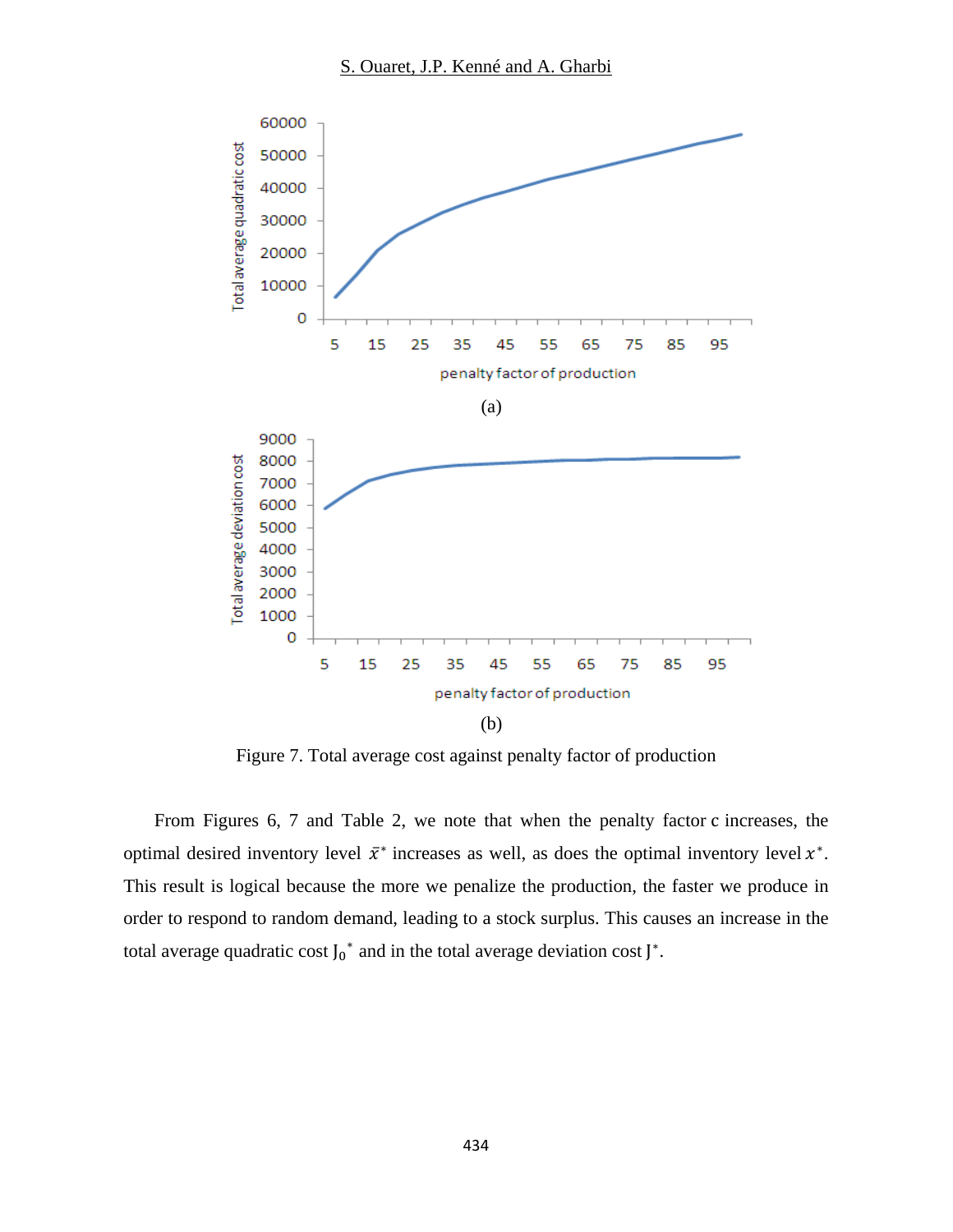

Figure 7. Total average cost against penalty factor of production

From Figures 6, 7 and Table 2, we note that when the penalty factor c increases, the optimal desired inventory level  $\bar{x}^*$  increases as well, as does the optimal inventory level  $x^*$ . This result is logical because the more we penalize the production, the faster we produce in order to respond to random demand, leading to a stock surplus. This causes an increase in the total average quadratic cost  $J_0^*$  and in the total average deviation cost  $J^*$ .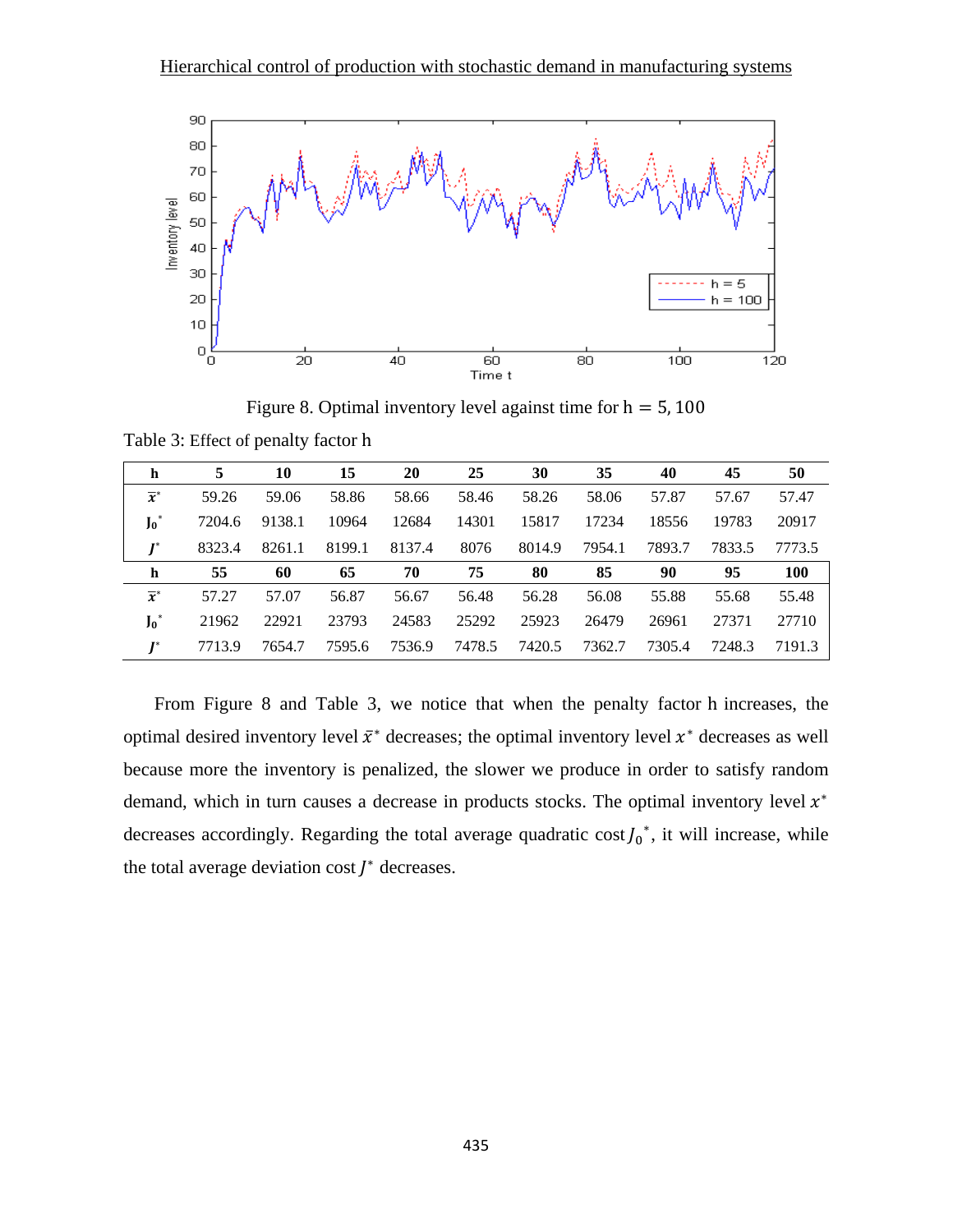

Figure 8. Optimal inventory level against time for  $h = 5,100$ 

| h                | 5      | 10     | 15     | 20     | 25     | 30     | 35     | 40     | 45     | 50         |
|------------------|--------|--------|--------|--------|--------|--------|--------|--------|--------|------------|
| $\overline{x}^*$ | 59.26  | 59.06  | 58.86  | 58.66  | 58.46  | 58.26  | 58.06  | 57.87  | 57.67  | 57.47      |
| $J_0^*$          | 7204.6 | 9138.1 | 10964  | 12684  | 14301  | 15817  | 17234  | 18556  | 19783  | 20917      |
| $I^*$            | 8323.4 | 8261.1 | 8199.1 | 8137.4 | 8076   | 8014.9 | 7954.1 | 7893.7 | 7833.5 | 7773.5     |
| h                | 55     | 60     | 65     | 70     | 75     | 80     | 85     | 90     | 95     | <b>100</b> |
| $\overline{x}^*$ | 57.27  | 57.07  | 56.87  | 56.67  | 56.48  | 56.28  | 56.08  | 55.88  | 55.68  | 55.48      |
| $J_0^*$          | 21962  | 22921  | 23793  | 24583  | 25292  | 25923  | 26479  | 26961  | 27371  | 27710      |
|                  | 7713.9 | 7654.7 | 7595.6 | 7536.9 | 7478.5 | 7420.5 | 7362.7 | 7305.4 | 7248.3 | 7191.3     |

Table 3: Effect of penalty factor h

From Figure 8 and Table 3, we notice that when the penalty factor h increases, the optimal desired inventory level  $\bar{x}^*$  decreases; the optimal inventory level  $x^*$  decreases as well because more the inventory is penalized, the slower we produce in order to satisfy random demand, which in turn causes a decrease in products stocks. The optimal inventory level  $x^*$ decreases accordingly. Regarding the total average quadratic cost  $J_0^*$ , it will increase, while the total average deviation cost  *decreases.*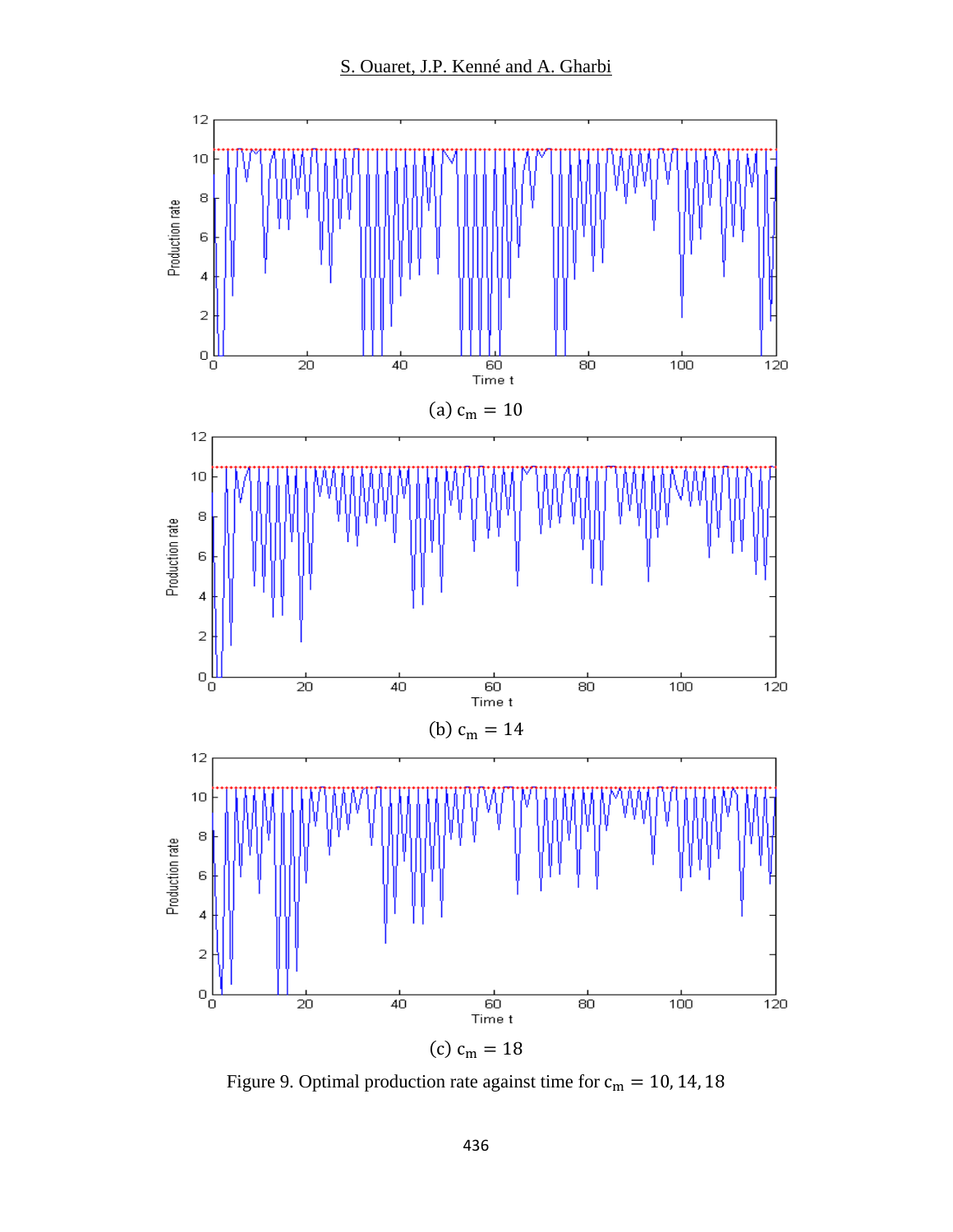

Figure 9. Optimal production rate against time for  $c_m = 10, 14, 18$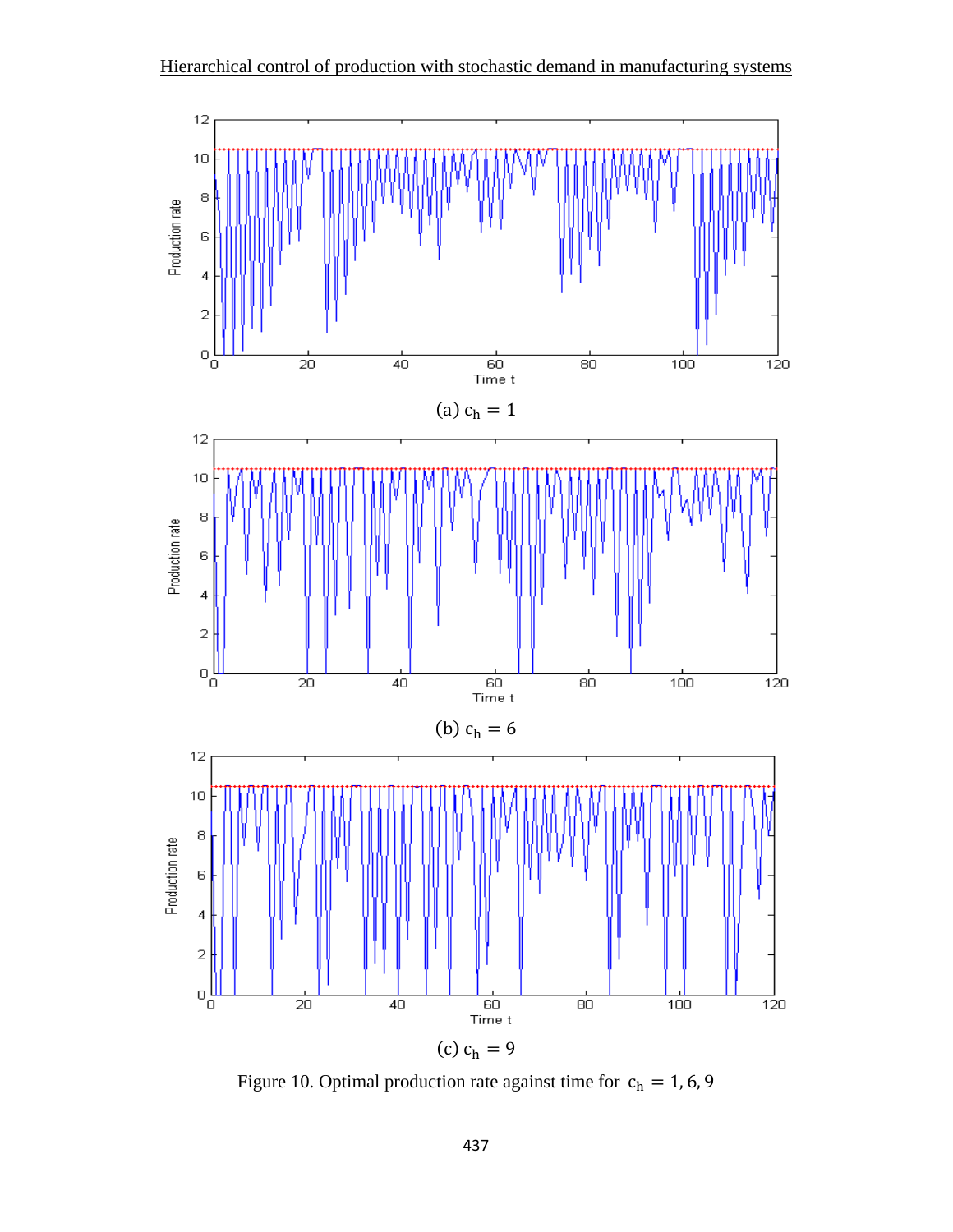

Figure 10. Optimal production rate against time for  $c_h = 1, 6, 9$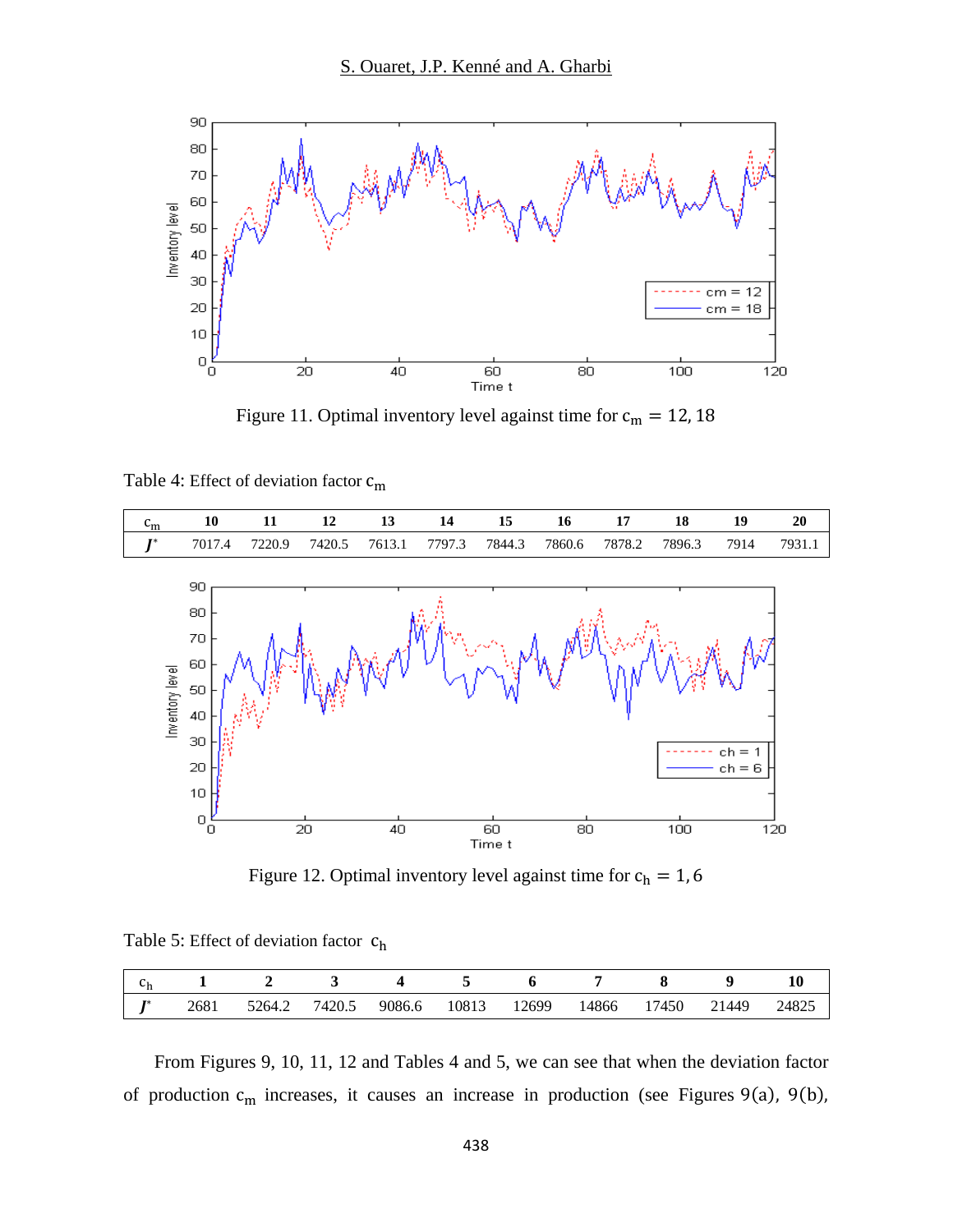

Figure 11. Optimal inventory level against time for  $c_m = 12, 18$ 

Table 4: Effect of deviation factor  $c_m$ 



Figure 12. Optimal inventory level against time for  $c_h = 1, 6$ 

Table 5: Effect of deviation factor  $c_h$ 

|    |      |        |        |        |       |       |       |                         |       | 10    |
|----|------|--------|--------|--------|-------|-------|-------|-------------------------|-------|-------|
| 宣密 | 2681 | 5264.2 | /420.5 | 9086.6 | 10813 | 12699 | 14866 | 7450<br>$\mathbf{\tau}$ | 21449 | 24825 |

From Figures 9, 10, 11, 12 and Tables 4 and 5, we can see that when the deviation factor of production  $c_m$  increases, it causes an increase in production (see Figures 9(a), 9(b),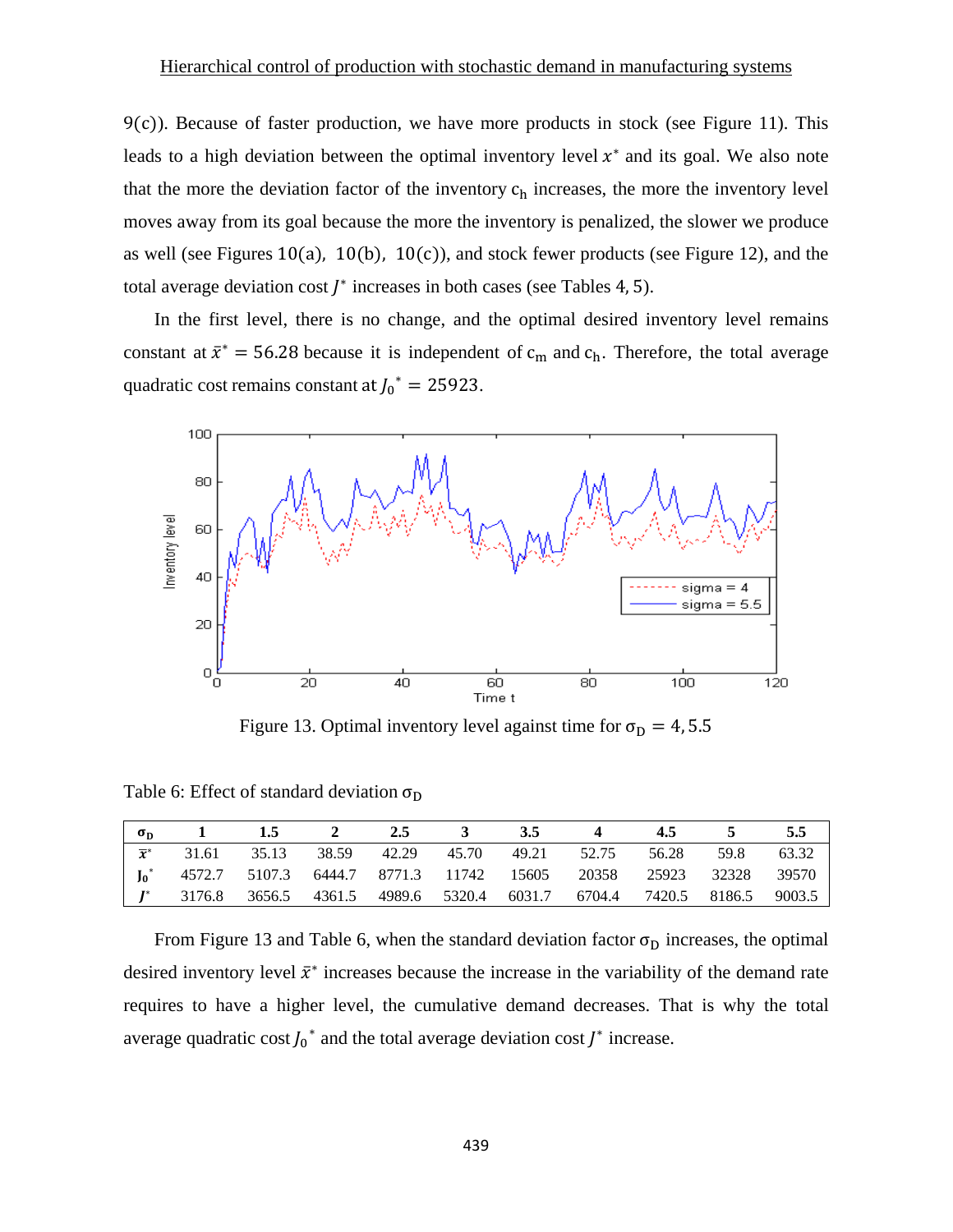$9(c)$ ). Because of faster production, we have more products in stock (see Figure 11). This leads to a high deviation between the optimal inventory level  $x^*$  and its goal. We also note that the more the deviation factor of the inventory  $c_h$  increases, the more the inventory level moves away from its goal because the more the inventory is penalized, the slower we produce as well (see Figures 10(a), 10(b), 10(c)), and stock fewer products (see Figure 12), and the total average deviation cost  *increases in both cases (see Tables 4, 5).* 

In the first level, there is no change, and the optimal desired inventory level remains constant at  $\bar{x}^* = 56.28$  because it is independent of  $c_m$  and  $c_h$ . Therefore, the total average quadratic cost remains constant at  $J_0^* = 25923$ .



Figure 13. Optimal inventory level against time for  $\sigma_{\rm D} = 4, 5.5$ 

| $\sigma_{\rm D}$              |  |  | 1 1.5 2 2.5 3 3.5 | $\overline{4}$ .                                                        | 4.5 5 5.5 |  |
|-------------------------------|--|--|-------------------|-------------------------------------------------------------------------|-----------|--|
| $\overline{\boldsymbol{x}}^*$ |  |  |                   | 31.61 35.13 38.59 42.29 45.70 49.21 52.75 56.28 59.8 63.32              |           |  |
|                               |  |  |                   | $J_0^*$ 4572.7 5107.3 6444.7 8771.3 11742 15605 20358 25923 32328 39570 |           |  |
|                               |  |  |                   |                                                                         |           |  |

Table 6: Effect of standard deviation  $\sigma_{\rm D}$ 

From Figure 13 and Table 6, when the standard deviation factor  $\sigma_{\rm D}$  increases, the optimal desired inventory level  $\bar{x}^*$  increases because the increase in the variability of the demand rate requires to have a higher level, the cumulative demand decreases. That is why the total average quadratic cost  $J_0^*$  and the total average deviation cost  $J^*$  increase.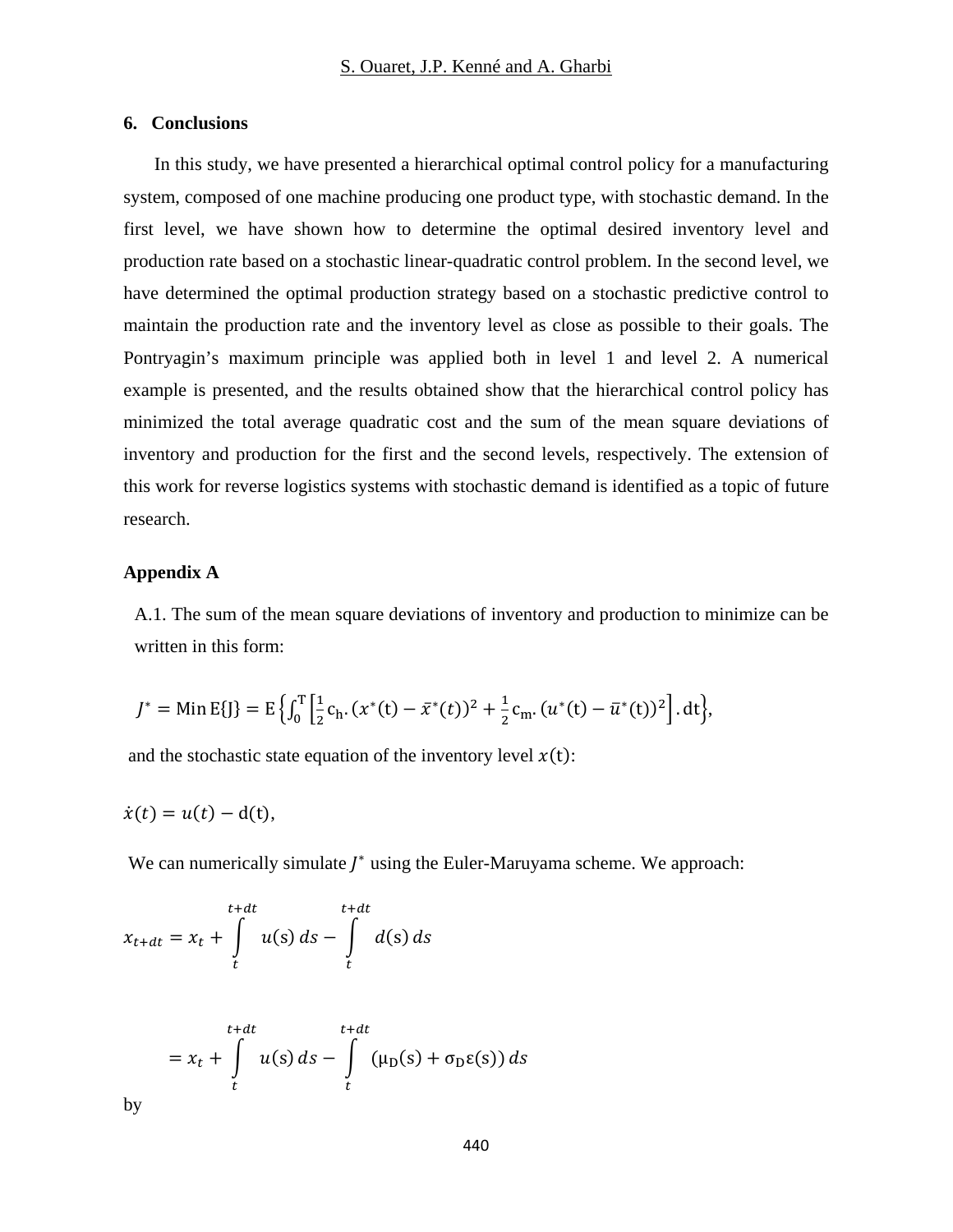### **6. Conclusions**

In this study, we have presented a hierarchical optimal control policy for a manufacturing system, composed of one machine producing one product type, with stochastic demand. In the first level, we have shown how to determine the optimal desired inventory level and production rate based on a stochastic linear-quadratic control problem. In the second level, we have determined the optimal production strategy based on a stochastic predictive control to maintain the production rate and the inventory level as close as possible to their goals. The Pontryagin's maximum principle was applied both in level 1 and level 2. A numerical example is presented, and the results obtained show that the hierarchical control policy has minimized the total average quadratic cost and the sum of the mean square deviations of inventory and production for the first and the second levels, respectively. The extension of this work for reverse logistics systems with stochastic demand is identified as a topic of future research.

### **Appendix A**

A.1. The sum of the mean square deviations of inventory and production to minimize can be written in this form:

$$
J^* = \min E\{J\} = E\left\{\int_0^T \left[\frac{1}{2}c_h \cdot (x^*(t) - \bar{x}^*(t))^2 + \frac{1}{2}c_m \cdot (u^*(t) - \bar{u}^*(t))^2\right] dt\right\},\
$$

and the stochastic state equation of the inventory level  $x(t)$ :

$$
\dot{x}(t) = u(t) - d(t),
$$

We can numerically simulate  *using the Euler-Maruyama scheme. We approach:* 

$$
x_{t+dt} = x_t + \int\limits_t^{t+dt} u(s) \, ds - \int\limits_t^{t+dt} d(s) \, ds
$$

$$
= x_t + \int\limits_t^{t+dt} u(s) \, ds - \int\limits_t^{t+dt} (\mu_D(s) + \sigma_D \varepsilon(s)) \, ds
$$

by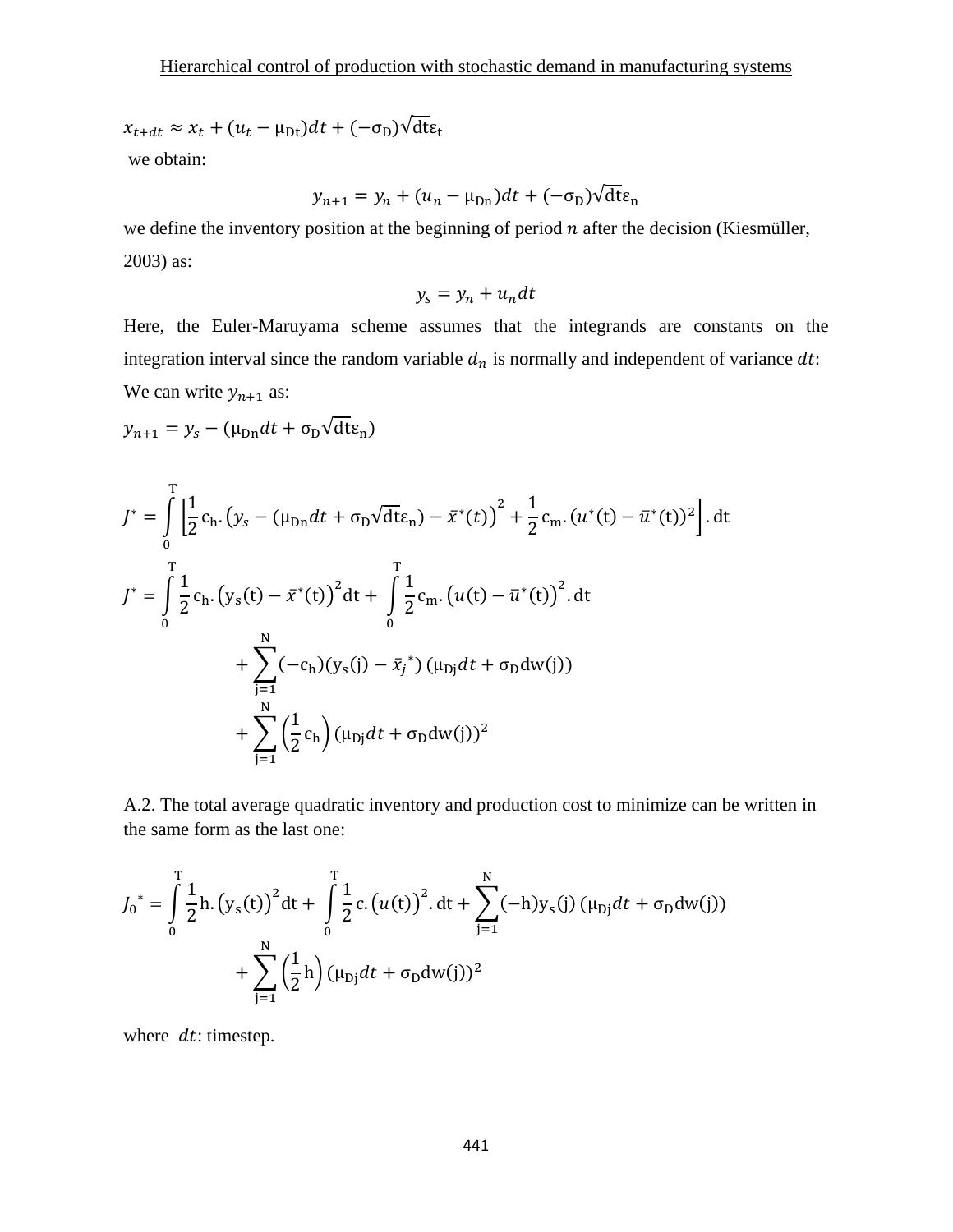$$
x_{t+dt} \approx x_t + (u_t - \mu_{Dt})dt + (-\sigma_D)\sqrt{\det_t}
$$

we obtain:

$$
y_{n+1} = y_n + (u_n - \mu_{\text{Dn}})dt + (-\sigma_{\text{D}})\sqrt{\text{d}t}\varepsilon_n
$$

we define the inventory position at the beginning of period  $n$  after the decision (Kiesmüller, 2003) as:

$$
y_s = y_n + u_n dt
$$

Here, the Euler-Maruyama scheme assumes that the integrands are constants on the integration interval since the random variable  $d_n$  is normally and independent of variance  $dt$ : We can write  $y_{n+1}$  as:

 $y_{n+1} = y_s - (\mu_{Dn} dt + \sigma_D \sqrt{dt} \varepsilon_n)$ 

$$
J^* = \int_0^T \left[ \frac{1}{2} c_{h} \cdot (y_s - (\mu_{Dn} dt + \sigma_D \sqrt{dt} \epsilon_n) - \bar{x}^*(t) \right]^2 + \frac{1}{2} c_{m} \cdot (u^*(t) - \bar{u}^*(t))^2 \right]. dt
$$
  

$$
J^* = \int_0^T \frac{1}{2} c_{h} \cdot (y_s(t) - \bar{x}^*(t))^2 dt + \int_0^T \frac{1}{2} c_{m} \cdot (u(t) - \bar{u}^*(t))^2 dt
$$

$$
+ \sum_{j=1}^N (-c_{h}) (y_s(j) - \bar{x}_j^*) (\mu_{Dj} dt + \sigma_D dw(j))
$$

$$
+ \sum_{j=1}^N (\frac{1}{2} c_{h}) (\mu_{Dj} dt + \sigma_D dw(j))^2
$$

A.2. The total average quadratic inventory and production cost to minimize can be written in the same form as the last one:

$$
J_0^* = \int_0^T \frac{1}{2} h. (y_s(t))^2 dt + \int_0^T \frac{1}{2} c. (u(t))^2 dt + \sum_{j=1}^N (-h) y_s(j) (\mu_{Dj} dt + \sigma_D dw(j))
$$
  
+ 
$$
\sum_{j=1}^N (\frac{1}{2} h) (\mu_{Dj} dt + \sigma_D dw(j))^2
$$

where  $dt$ : timestep.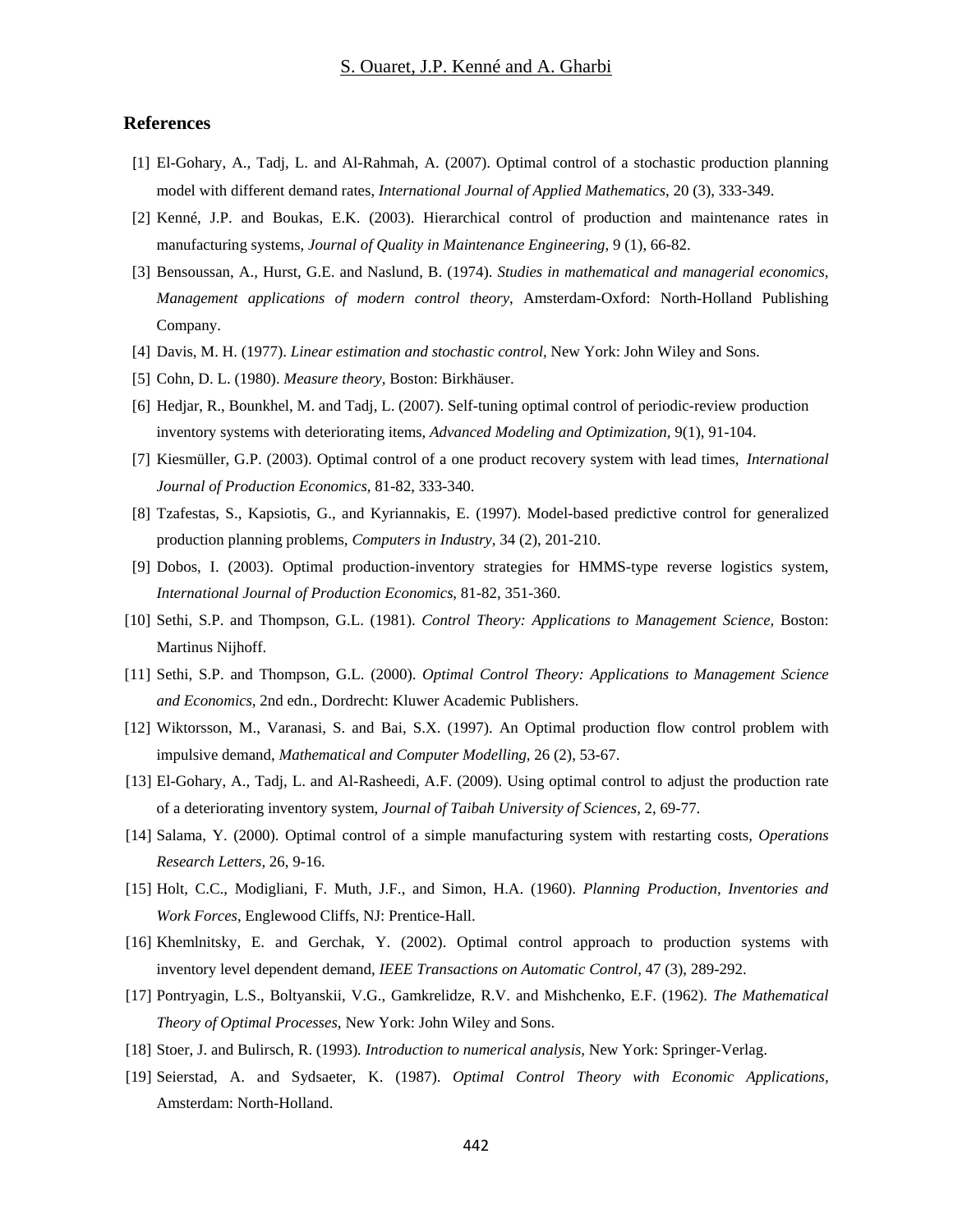#### **References**

- [1] El-Gohary, A., Tadj, L. and Al-Rahmah, A. (2007). Optimal control of a stochastic production planning model with different demand rates, *International Journal of Applied Mathematics*, 20 (3), 333-349.
- [2] Kenné, J.P. and Boukas, E.K. (2003). Hierarchical control of production and maintenance rates in manufacturing systems, *Journal of Quality in Maintenance Engineering*, 9 (1), 66-82.
- [3] Bensoussan, A., Hurst, G.E. and Naslund, B. (1974). *Studies in mathematical and managerial economics, Management applications of modern control theory*, Amsterdam-Oxford: North-Holland Publishing Company.
- [4] Davis, M. H. (1977). *Linear estimation and stochastic control,* New York: John Wiley and Sons.
- [5] Cohn, D. L. (1980). *Measure theory,* Boston: Birkhäuser.
- [6] Hedjar, R., Bounkhel, M. and Tadj, L. (2007). Self-tuning optimal control of periodic-review production inventory systems with deteriorating items, *Advanced Modeling and Optimization,* 9(1), 91-104.
- [7] Kiesmüller, G.P. (2003). Optimal control of a one product recovery system with lead times, *International Journal of Production Economics,* 81-82, 333-340.
- [8] Tzafestas, S., Kapsiotis, G., and Kyriannakis, E. (1997). Model-based predictive control for generalized production planning problems, *Computers in Industry,* 34 (2), 201-210.
- [9] Dobos, I. (2003). Optimal production-inventory strategies for HMMS-type reverse logistics system, *International Journal of Production Economics*, 81-82, 351-360.
- [10] Sethi, S.P. and Thompson, G.L. (1981). *Control Theory: Applications to Management Science,* Boston: Martinus Nijhoff.
- [11] Sethi, S.P. and Thompson, G.L. (2000). *Optimal Control Theory: Applications to Management Science and Economics,* 2nd edn., Dordrecht: Kluwer Academic Publishers.
- [12] Wiktorsson, M., Varanasi, S. and Bai, S.X. (1997). An Optimal production flow control problem with impulsive demand, *Mathematical and Computer Modelling,* 26 (2), 53-67.
- [13] El-Gohary, A., Tadj, L. and Al-Rasheedi, A.F. (2009). Using optimal control to adjust the production rate of a deteriorating inventory system, *Journal of Taibah University of Sciences,* 2, 69-77.
- [14] Salama, Y. (2000). Optimal control of a simple manufacturing system with restarting costs*, Operations Research Letters,* 26, 9-16.
- [15] Holt, C.C., Modigliani, F. Muth, J.F., and Simon, H.A. (1960). *Planning Production, Inventories and Work Forces*, Englewood Cliffs, NJ: Prentice-Hall.
- [16] Khemlnitsky, E. and Gerchak, Y. (2002). Optimal control approach to production systems with inventory level dependent demand, *IEEE Transactions on Automatic Control,* 47 (3), 289-292.
- [17] Pontryagin, L.S., Boltyanskii, V.G., Gamkrelidze, R.V. and Mishchenko, E.F. (1962). *The Mathematical Theory of Optimal Processes,* New York: John Wiley and Sons.
- [18] Stoer, J. and Bulirsch, R. (1993)*. Introduction to numerical analysis,* New York: Springer-Verlag.
- [19] Seierstad, A. and Sydsaeter, K. (1987). *Optimal Control Theory with Economic Applications,* Amsterdam: North-Holland.